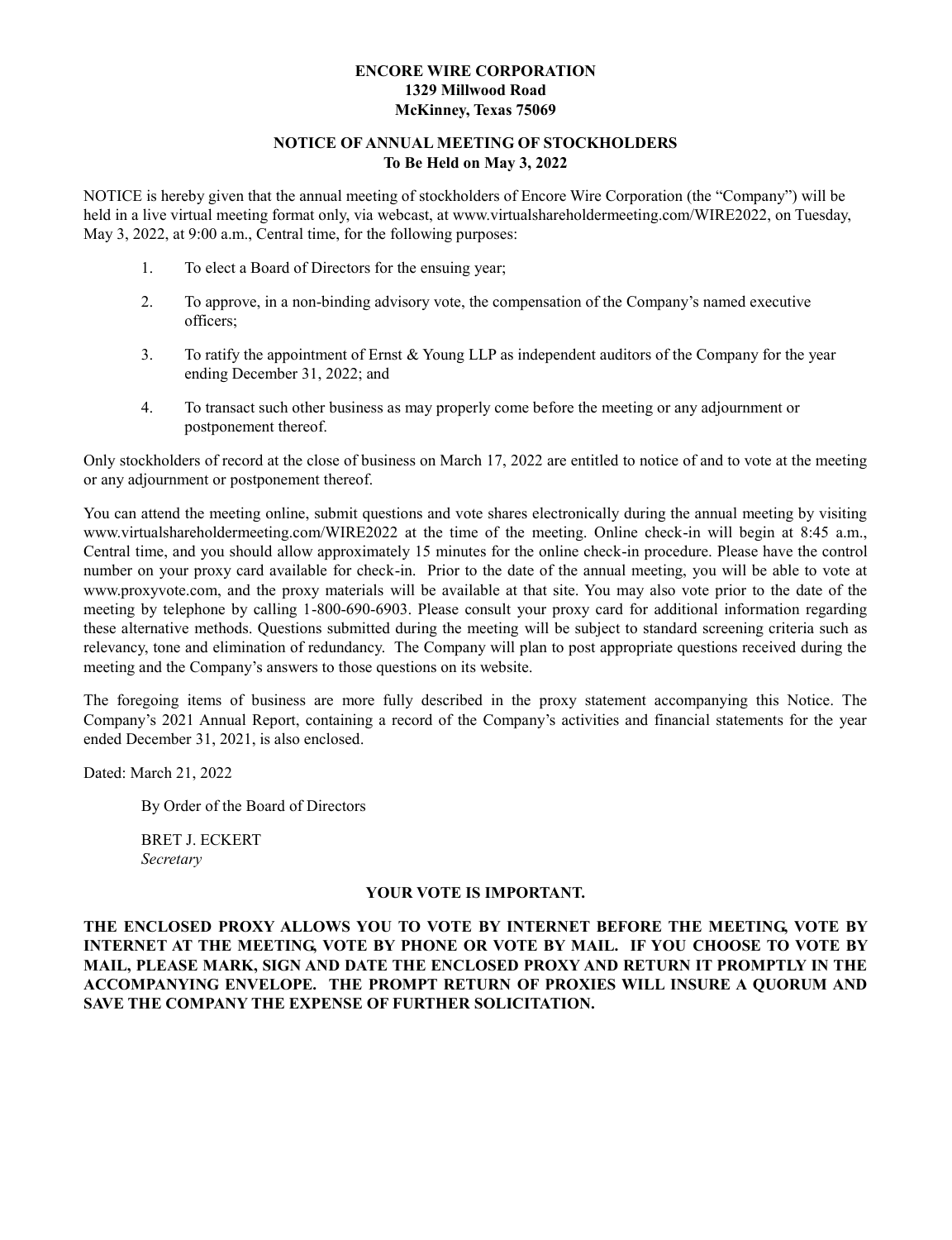# **ENCORE WIRE CORPORATION 1329 Millwood Road McKinney, Texas 75069**

## **NOTICE OF ANNUAL MEETING OF STOCKHOLDERS To Be Held on May 3, 2022**

NOTICE is hereby given that the annual meeting of stockholders of Encore Wire Corporation (the "Company") will be held in a live virtual meeting format only, via webcast, at www.virtualshareholdermeeting.com/WIRE2022, on Tuesday, May 3, 2022, at 9:00 a.m., Central time, for the following purposes:

- 1. To elect a Board of Directors for the ensuing year;
- 2. To approve, in a non-binding advisory vote, the compensation of the Company's named executive officers;
- 3. To ratify the appointment of Ernst & Young LLP as independent auditors of the Company for the year ending December 31, 2022; and
- 4. To transact such other business as may properly come before the meeting or any adjournment or postponement thereof.

Only stockholders of record at the close of business on March 17, 2022 are entitled to notice of and to vote at the meeting or any adjournment or postponement thereof.

You can attend the meeting online, submit questions and vote shares electronically during the annual meeting by visiting www.virtualshareholdermeeting.com/WIRE2022 at the time of the meeting. Online check-in will begin at 8:45 a.m., Central time, and you should allow approximately 15 minutes for the online check-in procedure. Please have the control number on your proxy card available for check-in. Prior to the date of the annual meeting, you will be able to vote at www.proxyvote.com, and the proxy materials will be available at that site. You may also vote prior to the date of the meeting by telephone by calling 1-800-690-6903. Please consult your proxy card for additional information regarding these alternative methods. Questions submitted during the meeting will be subject to standard screening criteria such as relevancy, tone and elimination of redundancy. The Company will plan to post appropriate questions received during the meeting and the Company's answers to those questions on its website.

The foregoing items of business are more fully described in the proxy statement accompanying this Notice. The Company's 2021 Annual Report, containing a record of the Company's activities and financial statements for the year ended December 31, 2021, is also enclosed.

Dated: March 21, 2022

By Order of the Board of Directors

BRET J. ECKERT *Secretary*

#### **YOUR VOTE IS IMPORTANT.**

**THE ENCLOSED PROXY ALLOWS YOU TO VOTE BY INTERNET BEFORE THE MEETING, VOTE BY INTERNET AT THE MEETING, VOTE BY PHONE OR VOTE BY MAIL. IF YOU CHOOSE TO VOTE BY MAIL, PLEASE MARK, SIGN AND DATE THE ENCLOSED PROXY AND RETURN IT PROMPTLY IN THE ACCOMPANYING ENVELOPE. THE PROMPT RETURN OF PROXIES WILL INSURE A QUORUM AND SAVE THE COMPANY THE EXPENSE OF FURTHER SOLICITATION.**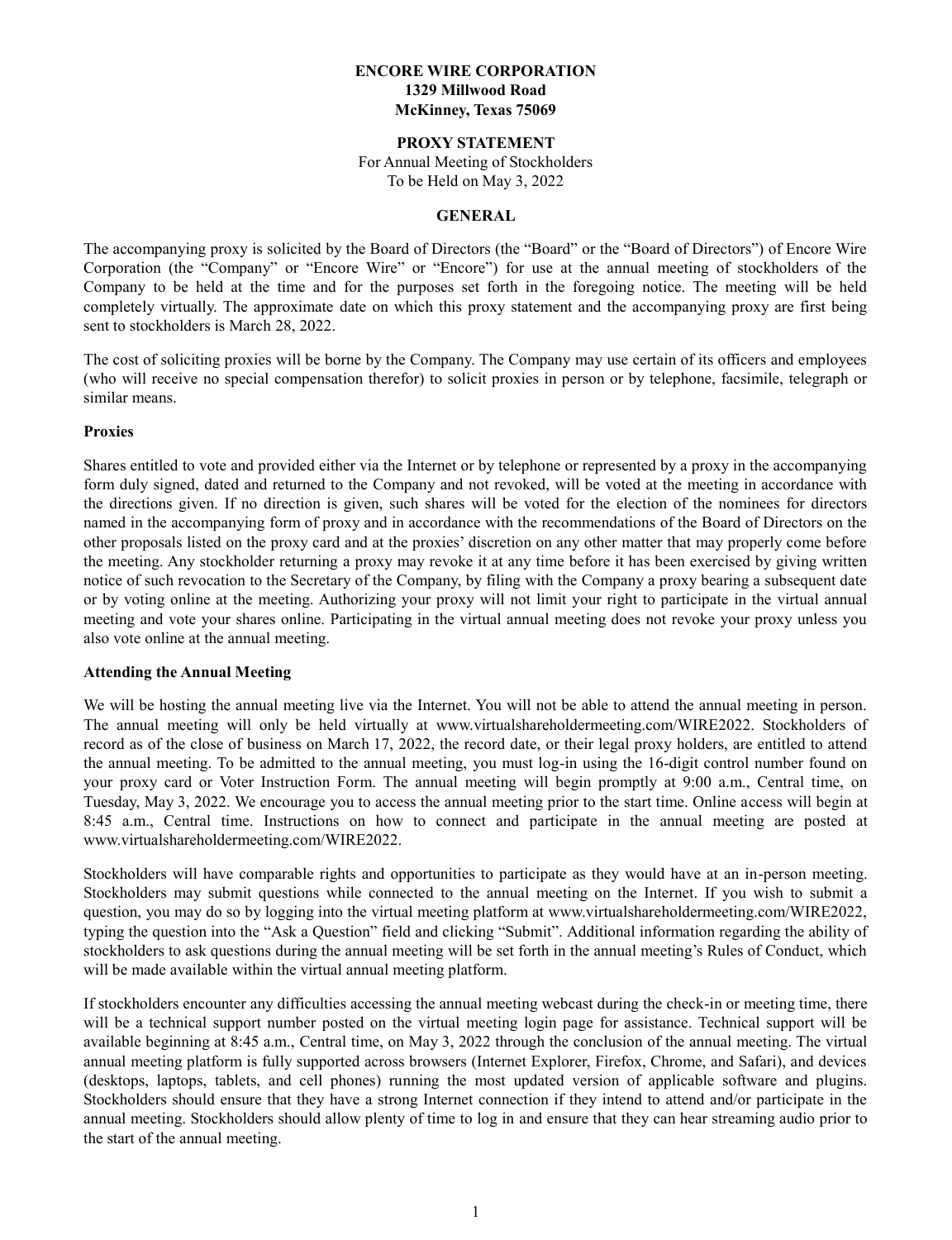## **ENCORE WIRE CORPORATION 1329 Millwood Road McKinney, Texas 75069**

#### **PROXY STATEMENT**

For Annual Meeting of Stockholders To be Held on May 3, 2022

#### **GENERAL**

The accompanying proxy is solicited by the Board of Directors (the "Board" or the "Board of Directors") of Encore Wire Corporation (the "Company" or "Encore Wire" or "Encore") for use at the annual meeting of stockholders of the Company to be held at the time and for the purposes set forth in the foregoing notice. The meeting will be held completely virtually. The approximate date on which this proxy statement and the accompanying proxy are first being sent to stockholders is March 28, 2022.

The cost of soliciting proxies will be borne by the Company. The Company may use certain of its officers and employees (who will receive no special compensation therefor) to solicit proxies in person or by telephone, facsimile, telegraph or similar means.

#### **Proxies**

Shares entitled to vote and provided either via the Internet or by telephone or represented by a proxy in the accompanying form duly signed, dated and returned to the Company and not revoked, will be voted at the meeting in accordance with the directions given. If no direction is given, such shares will be voted for the election of the nominees for directors named in the accompanying form of proxy and in accordance with the recommendations of the Board of Directors on the other proposals listed on the proxy card and at the proxies' discretion on any other matter that may properly come before the meeting. Any stockholder returning a proxy may revoke it at any time before it has been exercised by giving written notice of such revocation to the Secretary of the Company, by filing with the Company a proxy bearing a subsequent date or by voting online at the meeting. Authorizing your proxy will not limit your right to participate in the virtual annual meeting and vote your shares online. Participating in the virtual annual meeting does not revoke your proxy unless you also vote online at the annual meeting.

#### **Attending the Annual Meeting**

We will be hosting the annual meeting live via the Internet. You will not be able to attend the annual meeting in person. The annual meeting will only be held virtually at www.virtualshareholdermeeting.com/WIRE2022. Stockholders of record as of the close of business on March 17, 2022, the record date, or their legal proxy holders, are entitled to attend the annual meeting. To be admitted to the annual meeting, you must log-in using the 16-digit control number found on your proxy card or Voter Instruction Form. The annual meeting will begin promptly at 9:00 a.m., Central time, on Tuesday, May 3, 2022. We encourage you to access the annual meeting prior to the start time. Online access will begin at 8:45 a.m., Central time. Instructions on how to connect and participate in the annual meeting are posted at www.virtualshareholdermeeting.com/WIRE2022.

Stockholders will have comparable rights and opportunities to participate as they would have at an in-person meeting. Stockholders may submit questions while connected to the annual meeting on the Internet. If you wish to submit a question, you may do so by logging into the virtual meeting platform at www.virtualshareholdermeeting.com/WIRE2022, typing the question into the "Ask a Question" field and clicking "Submit". Additional information regarding the ability of stockholders to ask questions during the annual meeting will be set forth in the annual meeting's Rules of Conduct, which will be made available within the virtual annual meeting platform.

If stockholders encounter any difficulties accessing the annual meeting webcast during the check-in or meeting time, there will be a technical support number posted on the virtual meeting login page for assistance. Technical support will be available beginning at 8:45 a.m., Central time, on May 3, 2022 through the conclusion of the annual meeting. The virtual annual meeting platform is fully supported across browsers (Internet Explorer, Firefox, Chrome, and Safari), and devices (desktops, laptops, tablets, and cell phones) running the most updated version of applicable software and plugins. Stockholders should ensure that they have a strong Internet connection if they intend to attend and/or participate in the annual meeting. Stockholders should allow plenty of time to log in and ensure that they can hear streaming audio prior to the start of the annual meeting.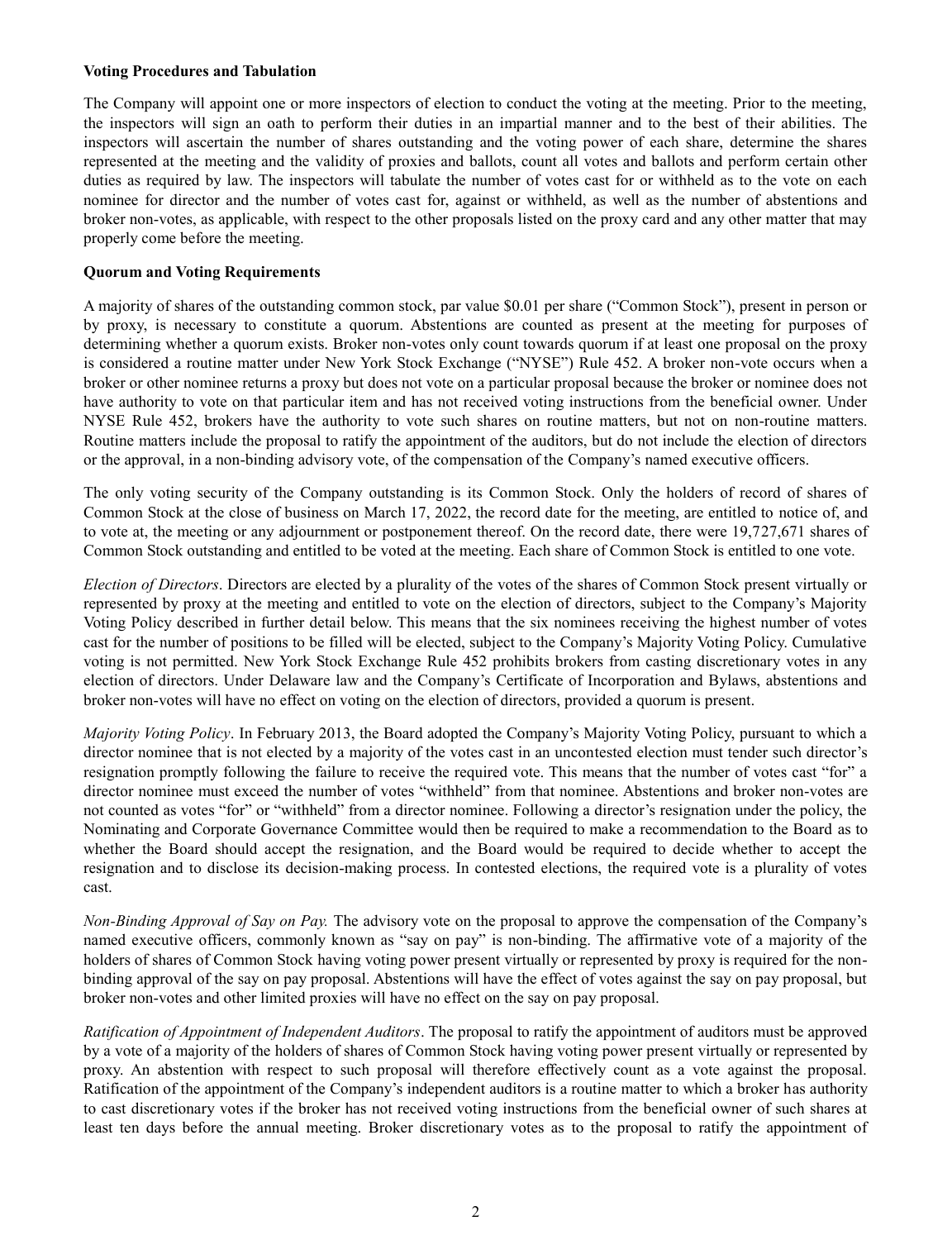### **Voting Procedures and Tabulation**

The Company will appoint one or more inspectors of election to conduct the voting at the meeting. Prior to the meeting, the inspectors will sign an oath to perform their duties in an impartial manner and to the best of their abilities. The inspectors will ascertain the number of shares outstanding and the voting power of each share, determine the shares represented at the meeting and the validity of proxies and ballots, count all votes and ballots and perform certain other duties as required by law. The inspectors will tabulate the number of votes cast for or withheld as to the vote on each nominee for director and the number of votes cast for, against or withheld, as well as the number of abstentions and broker non-votes, as applicable, with respect to the other proposals listed on the proxy card and any other matter that may properly come before the meeting.

## **Quorum and Voting Requirements**

A majority of shares of the outstanding common stock, par value \$0.01 per share ("Common Stock"), present in person or by proxy, is necessary to constitute a quorum. Abstentions are counted as present at the meeting for purposes of determining whether a quorum exists. Broker non-votes only count towards quorum if at least one proposal on the proxy is considered a routine matter under New York Stock Exchange ("NYSE") Rule 452. A broker non-vote occurs when a broker or other nominee returns a proxy but does not vote on a particular proposal because the broker or nominee does not have authority to vote on that particular item and has not received voting instructions from the beneficial owner. Under NYSE Rule 452, brokers have the authority to vote such shares on routine matters, but not on non-routine matters. Routine matters include the proposal to ratify the appointment of the auditors, but do not include the election of directors or the approval, in a non-binding advisory vote, of the compensation of the Company's named executive officers.

The only voting security of the Company outstanding is its Common Stock. Only the holders of record of shares of Common Stock at the close of business on March 17, 2022, the record date for the meeting, are entitled to notice of, and to vote at, the meeting or any adjournment or postponement thereof. On the record date, there were 19,727,671 shares of Common Stock outstanding and entitled to be voted at the meeting. Each share of Common Stock is entitled to one vote.

*Election of Directors*. Directors are elected by a plurality of the votes of the shares of Common Stock present virtually or represented by proxy at the meeting and entitled to vote on the election of directors, subject to the Company's Majority Voting Policy described in further detail below. This means that the six nominees receiving the highest number of votes cast for the number of positions to be filled will be elected, subject to the Company's Majority Voting Policy. Cumulative voting is not permitted. New York Stock Exchange Rule 452 prohibits brokers from casting discretionary votes in any election of directors. Under Delaware law and the Company's Certificate of Incorporation and Bylaws, abstentions and broker non-votes will have no effect on voting on the election of directors, provided a quorum is present.

*Majority Voting Policy*. In February 2013, the Board adopted the Company's Majority Voting Policy, pursuant to which a director nominee that is not elected by a majority of the votes cast in an uncontested election must tender such director's resignation promptly following the failure to receive the required vote. This means that the number of votes cast "for" a director nominee must exceed the number of votes "withheld" from that nominee. Abstentions and broker non-votes are not counted as votes "for" or "withheld" from a director nominee. Following a director's resignation under the policy, the Nominating and Corporate Governance Committee would then be required to make a recommendation to the Board as to whether the Board should accept the resignation, and the Board would be required to decide whether to accept the resignation and to disclose its decision-making process. In contested elections, the required vote is a plurality of votes cast.

*Non-Binding Approval of Say on Pay.* The advisory vote on the proposal to approve the compensation of the Company's named executive officers, commonly known as "say on pay" is non-binding. The affirmative vote of a majority of the holders of shares of Common Stock having voting power present virtually or represented by proxy is required for the nonbinding approval of the say on pay proposal. Abstentions will have the effect of votes against the say on pay proposal, but broker non-votes and other limited proxies will have no effect on the say on pay proposal.

*Ratification of Appointment of Independent Auditors*. The proposal to ratify the appointment of auditors must be approved by a vote of a majority of the holders of shares of Common Stock having voting power present virtually or represented by proxy. An abstention with respect to such proposal will therefore effectively count as a vote against the proposal. Ratification of the appointment of the Company's independent auditors is a routine matter to which a broker has authority to cast discretionary votes if the broker has not received voting instructions from the beneficial owner of such shares at least ten days before the annual meeting. Broker discretionary votes as to the proposal to ratify the appointment of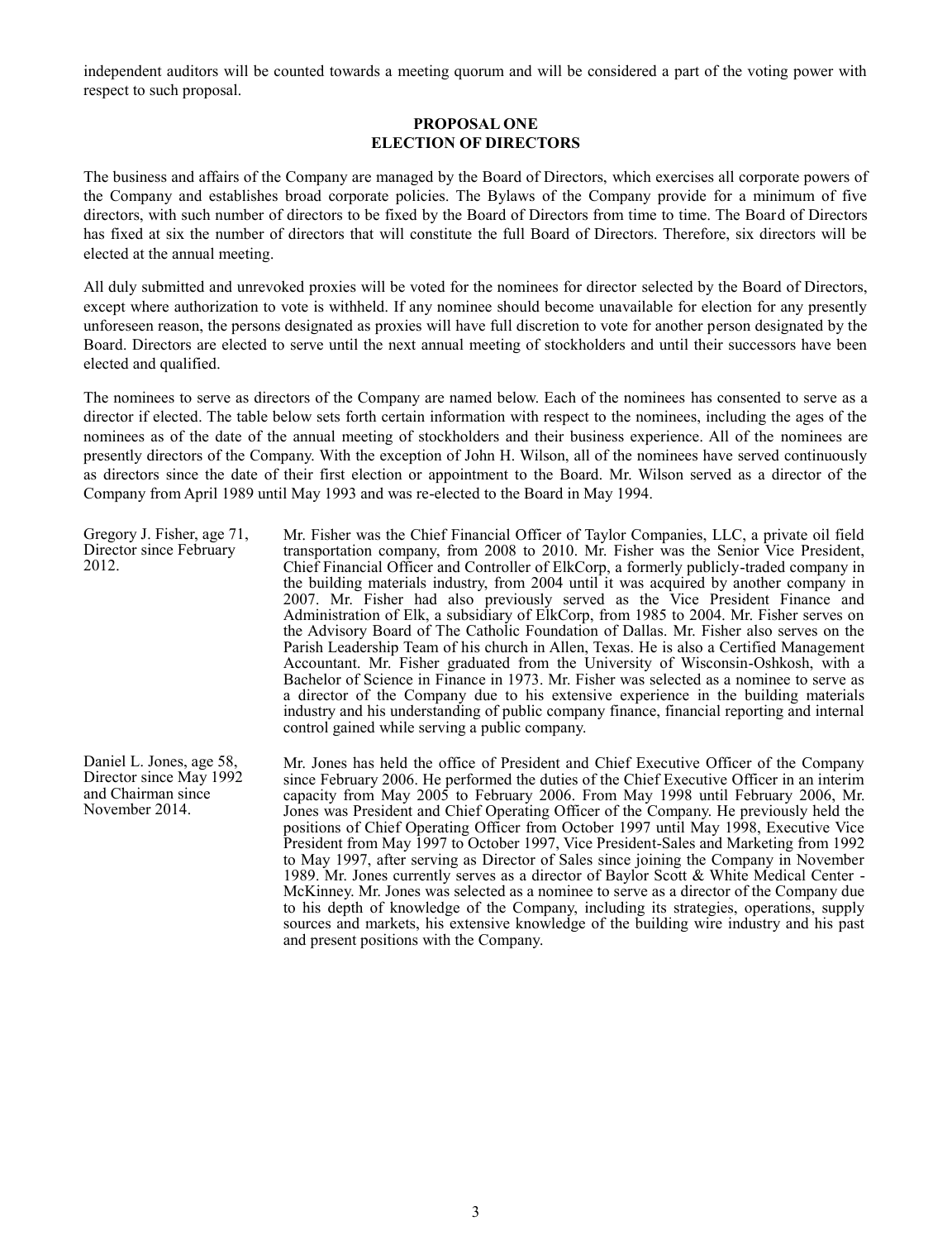independent auditors will be counted towards a meeting quorum and will be considered a part of the voting power with respect to such proposal.

### **PROPOSAL ONE ELECTION OF DIRECTORS**

The business and affairs of the Company are managed by the Board of Directors, which exercises all corporate powers of the Company and establishes broad corporate policies. The Bylaws of the Company provide for a minimum of five directors, with such number of directors to be fixed by the Board of Directors from time to time. The Board of Directors has fixed at six the number of directors that will constitute the full Board of Directors. Therefore, six directors will be elected at the annual meeting.

All duly submitted and unrevoked proxies will be voted for the nominees for director selected by the Board of Directors, except where authorization to vote is withheld. If any nominee should become unavailable for election for any presently unforeseen reason, the persons designated as proxies will have full discretion to vote for another person designated by the Board. Directors are elected to serve until the next annual meeting of stockholders and until their successors have been elected and qualified.

The nominees to serve as directors of the Company are named below. Each of the nominees has consented to serve as a director if elected. The table below sets forth certain information with respect to the nominees, including the ages of the nominees as of the date of the annual meeting of stockholders and their business experience. All of the nominees are presently directors of the Company. With the exception of John H. Wilson, all of the nominees have served continuously as directors since the date of their first election or appointment to the Board. Mr. Wilson served as a director of the Company from April 1989 until May 1993 and was re-elected to the Board in May 1994.

Gregory J. Fisher, age 71, Director since February 2012. Mr. Fisher was the Chief Financial Officer of Taylor Companies, LLC, a private oil field transportation company, from 2008 to 2010. Mr. Fisher was the Senior Vice President, Chief Financial Officer and Controller of ElkCorp, a formerly publicly-traded company in the building materials industry, from 2004 until it was acquired by another company in 2007. Mr. Fisher had also previously served as the Vice President Finance and Administration of Elk, a subsidiary of ElkCorp, from 1985 to 2004. Mr. Fisher serves on the Advisory Board of The Catholic Foundation of Dallas. Mr. Fisher also serves on the Parish Leadership Team of his church in Allen, Texas. He is also a Certified Management Accountant. Mr. Fisher graduated from the University of Wisconsin-Oshkosh, with a Bachelor of Science in Finance in 1973. Mr. Fisher was selected as a nominee to serve as a director of the Company due to his extensive experience in the building materials industry and his understanding of public company finance, financial reporting and internal control gained while serving a public company.

Daniel L. Jones, age 58, Director since May 1992 and Chairman since November 2014. Mr. Jones has held the office of President and Chief Executive Officer of the Company since February 2006. He performed the duties of the Chief Executive Officer in an interim capacity from May 2005 to February 2006. From May 1998 until February 2006, Mr. Jones was President and Chief Operating Officer of the Company. He previously held the positions of Chief Operating Officer from October 1997 until May 1998, Executive Vice President from May 1997 to October 1997, Vice President-Sales and Marketing from 1992 to May 1997, after serving as Director of Sales since joining the Company in November 1989. Mr. Jones currently serves as a director of Baylor Scott & White Medical Center - McKinney. Mr. Jones was selected as a nominee to serve as a director of the Company due to his depth of knowledge of the Company, including its strategies, operations, supply sources and markets, his extensive knowledge of the building wire industry and his past and present positions with the Company.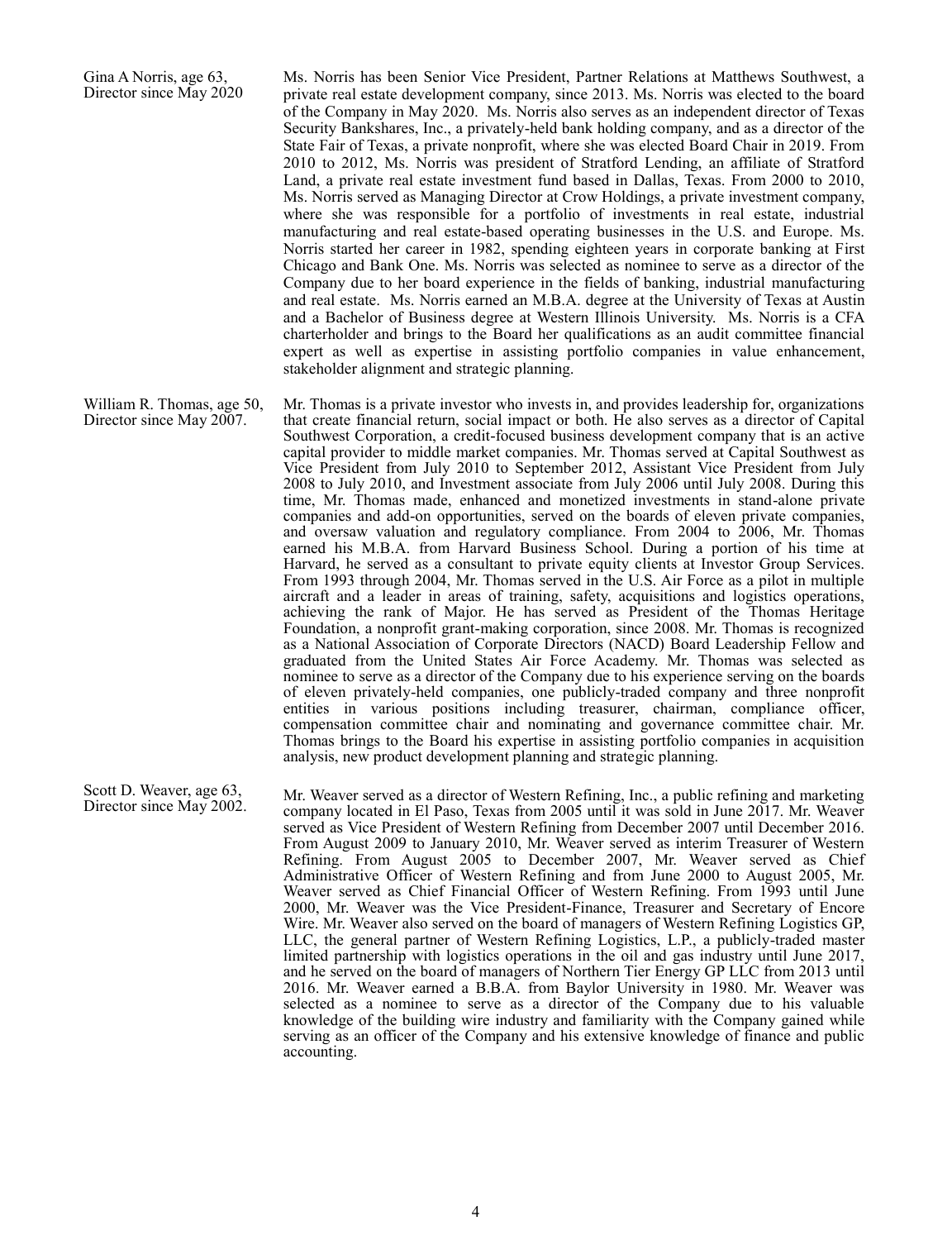Gina A Norris, age 63, Director since May 2020 Ms. Norris has been Senior Vice President, Partner Relations at Matthews Southwest, a private real estate development company, since 2013. Ms. Norris was elected to the board of the Company in May 2020. Ms. Norris also serves as an independent director of Texas Security Bankshares, Inc., a privately-held bank holding company, and as a director of the State Fair of Texas, a private nonprofit, where she was elected Board Chair in 2019. From 2010 to 2012, Ms. Norris was president of Stratford Lending, an affiliate of Stratford Land, a private real estate investment fund based in Dallas, Texas. From 2000 to 2010, Ms. Norris served as Managing Director at Crow Holdings, a private investment company, where she was responsible for a portfolio of investments in real estate, industrial manufacturing and real estate-based operating businesses in the U.S. and Europe. Ms. Norris started her career in 1982, spending eighteen years in corporate banking at First Chicago and Bank One. Ms. Norris was selected as nominee to serve as a director of the Company due to her board experience in the fields of banking, industrial manufacturing and real estate. Ms. Norris earned an M.B.A. degree at the University of Texas at Austin and a Bachelor of Business degree at Western Illinois University. Ms. Norris is a CFA charterholder and brings to the Board her qualifications as an audit committee financial expert as well as expertise in assisting portfolio companies in value enhancement, stakeholder alignment and strategic planning.

William R. Thomas, age 50, Director since May 2007. Mr. Thomas is a private investor who invests in, and provides leadership for, organizations that create financial return, social impact or both. He also serves as a director of Capital Southwest Corporation, a credit-focused business development company that is an active capital provider to middle market companies. Mr. Thomas served at Capital Southwest as Vice President from July 2010 to September 2012, Assistant Vice President from July 2008 to July 2010, and Investment associate from July 2006 until July 2008. During this time, Mr. Thomas made, enhanced and monetized investments in stand-alone private companies and add-on opportunities, served on the boards of eleven private companies, and oversaw valuation and regulatory compliance. From 2004 to 2006, Mr. Thomas earned his M.B.A. from Harvard Business School. During a portion of his time at Harvard, he served as a consultant to private equity clients at Investor Group Services. From 1993 through 2004, Mr. Thomas served in the U.S. Air Force as a pilot in multiple aircraft and a leader in areas of training, safety, acquisitions and logistics operations, achieving the rank of Major. He has served as President of the Thomas Heritage Foundation, a nonprofit grant-making corporation, since 2008. Mr. Thomas is recognized as a National Association of Corporate Directors (NACD) Board Leadership Fellow and graduated from the United States Air Force Academy. Mr. Thomas was selected as nominee to serve as a director of the Company due to his experience serving on the boards of eleven privately-held companies, one publicly-traded company and three nonprofit entities in various positions including treasurer, chairman, compliance officer, compensation committee chair and nominating and governance committee chair. Mr. Thomas brings to the Board his expertise in assisting portfolio companies in acquisition analysis, new product development planning and strategic planning.

Scott D. Weaver, age 63,<br>Director since May 2002. Mr. Weaver served as a director of Western Refining, Inc., a public refining and marketing company located in El Paso, Texas from 2005 until it was sold in June 2017. Mr. Weaver served as Vice President of Western Refining from December 2007 until December 2016. From August 2009 to January 2010, Mr. Weaver served as interim Treasurer of Western Refining. From August 2005 to December 2007, Mr. Weaver served as Chief Administrative Officer of Western Refining and from June 2000 to August 2005, Mr. Weaver served as Chief Financial Officer of Western Refining. From 1993 until June 2000, Mr. Weaver was the Vice President-Finance, Treasurer and Secretary of Encore Wire. Mr. Weaver also served on the board of managers of Western Refining Logistics GP, LLC, the general partner of Western Refining Logistics, L.P., a publicly-traded master limited partnership with logistics operations in the oil and gas industry until June 2017, and he served on the board of managers of Northern Tier Energy GP LLC from 2013 until 2016. Mr. Weaver earned a B.B.A. from Baylor University in 1980. Mr. Weaver was selected as a nominee to serve as a director of the Company due to his valuable knowledge of the building wire industry and familiarity with the Company gained while serving as an officer of the Company and his extensive knowledge of finance and public accounting.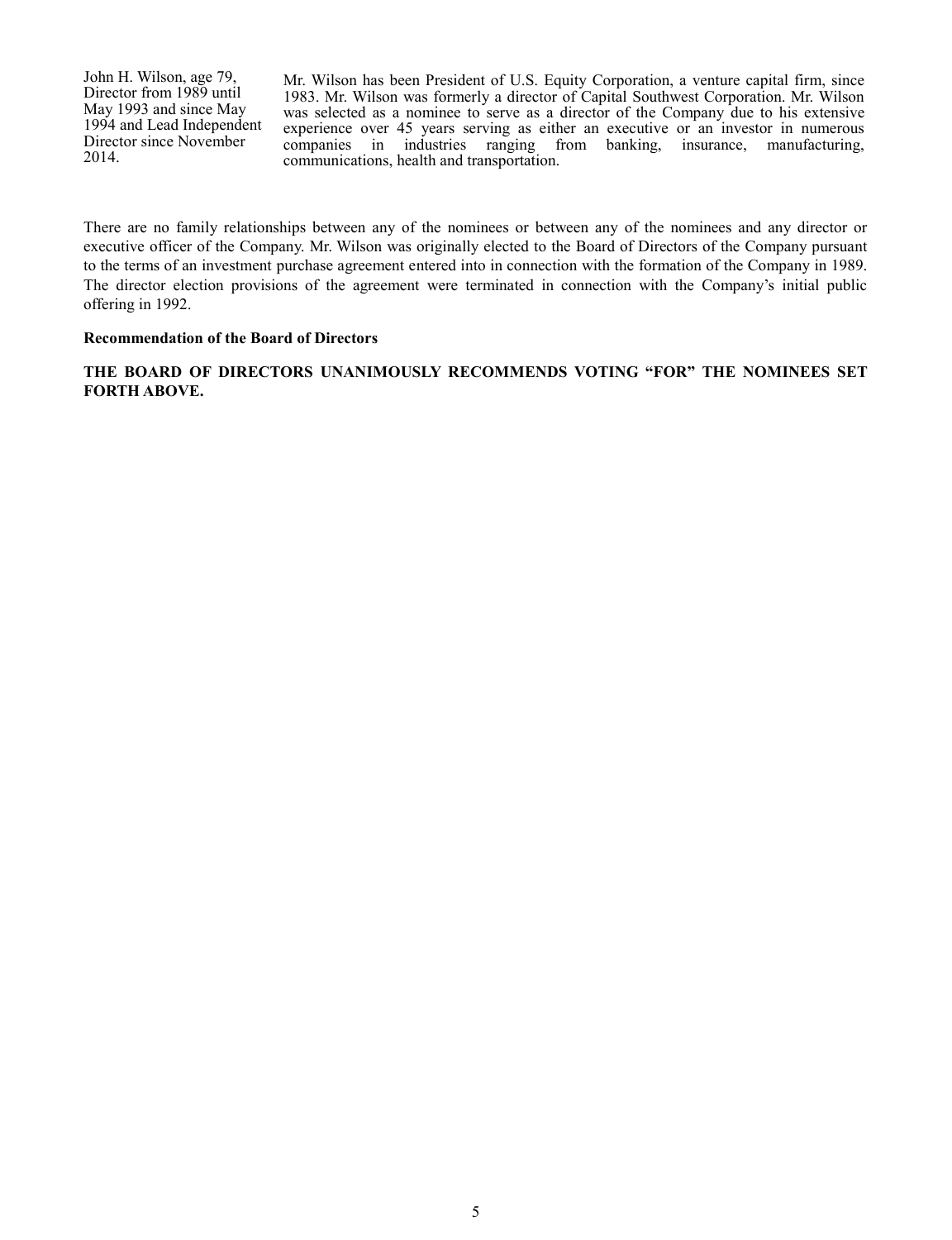John H. Wilson, age 79, Director from 1989 until May 1993 and since May 1994 and Lead Independent Director since November 2014.

Mr. Wilson has been President of U.S. Equity Corporation, a venture capital firm, since 1983. Mr. Wilson was formerly a director of Capital Southwest Corporation. Mr. Wilson was selected as a nominee to serve as a director of the Company due to his extensive experience over 45 years serving as either an executive or an investor in numerous companies in industries ranging from banking, insurance, manufacturing, communications, health and transportation.

There are no family relationships between any of the nominees or between any of the nominees and any director or executive officer of the Company. Mr. Wilson was originally elected to the Board of Directors of the Company pursuant to the terms of an investment purchase agreement entered into in connection with the formation of the Company in 1989. The director election provisions of the agreement were terminated in connection with the Company's initial public offering in 1992.

#### **Recommendation of the Board of Directors**

**THE BOARD OF DIRECTORS UNANIMOUSLY RECOMMENDS VOTING "FOR" THE NOMINEES SET FORTH ABOVE.**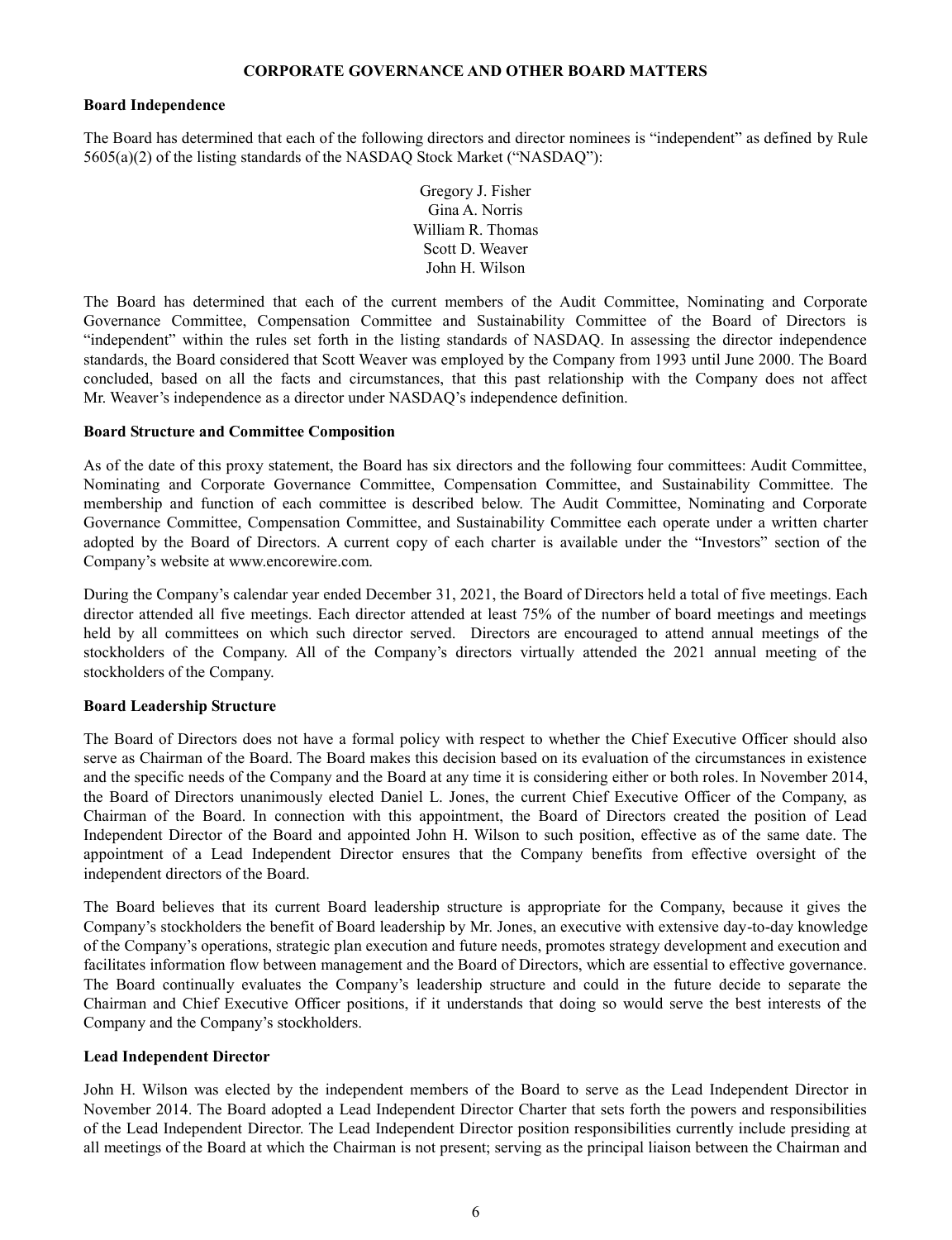### **CORPORATE GOVERNANCE AND OTHER BOARD MATTERS**

#### **Board Independence**

The Board has determined that each of the following directors and director nominees is "independent" as defined by Rule 5605(a)(2) of the listing standards of the NASDAQ Stock Market ("NASDAQ"):

> Gregory J. Fisher Gina A. Norris William R. Thomas Scott D. Weaver John H. Wilson

The Board has determined that each of the current members of the Audit Committee, Nominating and Corporate Governance Committee, Compensation Committee and Sustainability Committee of the Board of Directors is "independent" within the rules set forth in the listing standards of NASDAQ. In assessing the director independence standards, the Board considered that Scott Weaver was employed by the Company from 1993 until June 2000. The Board concluded, based on all the facts and circumstances, that this past relationship with the Company does not affect Mr. Weaver's independence as a director under NASDAQ's independence definition.

### **Board Structure and Committee Composition**

As of the date of this proxy statement, the Board has six directors and the following four committees: Audit Committee, Nominating and Corporate Governance Committee, Compensation Committee, and Sustainability Committee. The membership and function of each committee is described below. The Audit Committee, Nominating and Corporate Governance Committee, Compensation Committee, and Sustainability Committee each operate under a written charter adopted by the Board of Directors. A current copy of each charter is available under the "Investors" section of the Company's website at www.encorewire.com.

During the Company's calendar year ended December 31, 2021, the Board of Directors held a total of five meetings. Each director attended all five meetings. Each director attended at least 75% of the number of board meetings and meetings held by all committees on which such director served. Directors are encouraged to attend annual meetings of the stockholders of the Company. All of the Company's directors virtually attended the 2021 annual meeting of the stockholders of the Company.

## **Board Leadership Structure**

The Board of Directors does not have a formal policy with respect to whether the Chief Executive Officer should also serve as Chairman of the Board. The Board makes this decision based on its evaluation of the circumstances in existence and the specific needs of the Company and the Board at any time it is considering either or both roles. In November 2014, the Board of Directors unanimously elected Daniel L. Jones, the current Chief Executive Officer of the Company, as Chairman of the Board. In connection with this appointment, the Board of Directors created the position of Lead Independent Director of the Board and appointed John H. Wilson to such position, effective as of the same date. The appointment of a Lead Independent Director ensures that the Company benefits from effective oversight of the independent directors of the Board.

The Board believes that its current Board leadership structure is appropriate for the Company, because it gives the Company's stockholders the benefit of Board leadership by Mr. Jones, an executive with extensive day-to-day knowledge of the Company's operations, strategic plan execution and future needs, promotes strategy development and execution and facilitates information flow between management and the Board of Directors, which are essential to effective governance. The Board continually evaluates the Company's leadership structure and could in the future decide to separate the Chairman and Chief Executive Officer positions, if it understands that doing so would serve the best interests of the Company and the Company's stockholders.

## **Lead Independent Director**

John H. Wilson was elected by the independent members of the Board to serve as the Lead Independent Director in November 2014. The Board adopted a Lead Independent Director Charter that sets forth the powers and responsibilities of the Lead Independent Director. The Lead Independent Director position responsibilities currently include presiding at all meetings of the Board at which the Chairman is not present; serving as the principal liaison between the Chairman and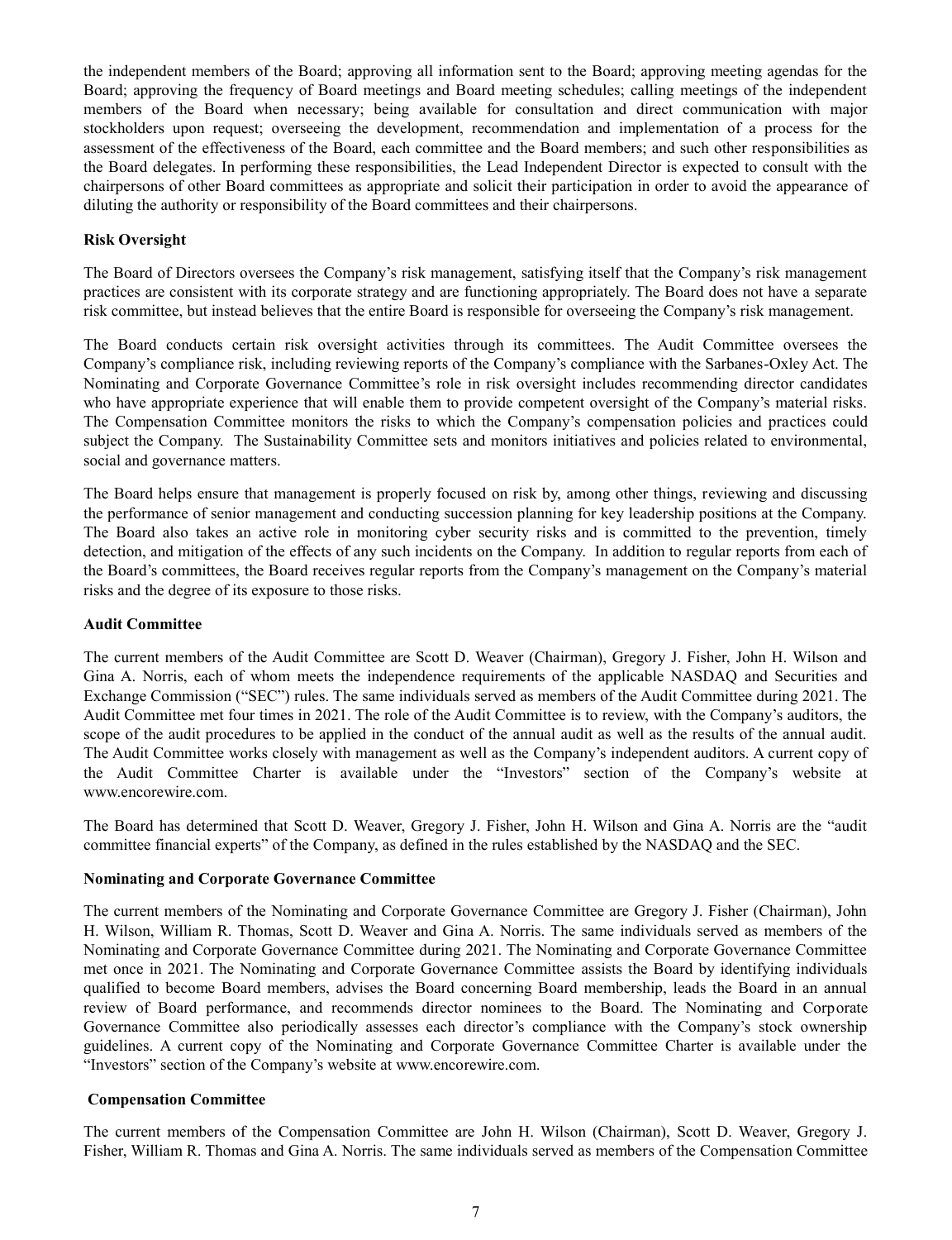the independent members of the Board; approving all information sent to the Board; approving meeting agendas for the Board; approving the frequency of Board meetings and Board meeting schedules; calling meetings of the independent members of the Board when necessary; being available for consultation and direct communication with major stockholders upon request; overseeing the development, recommendation and implementation of a process for the assessment of the effectiveness of the Board, each committee and the Board members; and such other responsibilities as the Board delegates. In performing these responsibilities, the Lead Independent Director is expected to consult with the chairpersons of other Board committees as appropriate and solicit their participation in order to avoid the appearance of diluting the authority or responsibility of the Board committees and their chairpersons.

# **Risk Oversight**

The Board of Directors oversees the Company's risk management, satisfying itself that the Company's risk management practices are consistent with its corporate strategy and are functioning appropriately. The Board does not have a separate risk committee, but instead believes that the entire Board is responsible for overseeing the Company's risk management.

The Board conducts certain risk oversight activities through its committees. The Audit Committee oversees the Company's compliance risk, including reviewing reports of the Company's compliance with the Sarbanes-Oxley Act. The Nominating and Corporate Governance Committee's role in risk oversight includes recommending director candidates who have appropriate experience that will enable them to provide competent oversight of the Company's material risks. The Compensation Committee monitors the risks to which the Company's compensation policies and practices could subject the Company. The Sustainability Committee sets and monitors initiatives and policies related to environmental, social and governance matters.

The Board helps ensure that management is properly focused on risk by, among other things, reviewing and discussing the performance of senior management and conducting succession planning for key leadership positions at the Company. The Board also takes an active role in monitoring cyber security risks and is committed to the prevention, timely detection, and mitigation of the effects of any such incidents on the Company. In addition to regular reports from each of the Board's committees, the Board receives regular reports from the Company's management on the Company's material risks and the degree of its exposure to those risks.

## **Audit Committee**

The current members of the Audit Committee are Scott D. Weaver (Chairman), Gregory J. Fisher, John H. Wilson and Gina A. Norris, each of whom meets the independence requirements of the applicable NASDAQ and Securities and Exchange Commission ("SEC") rules. The same individuals served as members of the Audit Committee during 2021. The Audit Committee met four times in 2021. The role of the Audit Committee is to review, with the Company's auditors, the scope of the audit procedures to be applied in the conduct of the annual audit as well as the results of the annual audit. The Audit Committee works closely with management as well as the Company's independent auditors. A current copy of the Audit Committee Charter is available under the "Investors" section of the Company's website at www.encorewire.com.

The Board has determined that Scott D. Weaver, Gregory J. Fisher, John H. Wilson and Gina A. Norris are the "audit committee financial experts" of the Company, as defined in the rules established by the NASDAQ and the SEC.

## **Nominating and Corporate Governance Committee**

The current members of the Nominating and Corporate Governance Committee are Gregory J. Fisher (Chairman), John H. Wilson, William R. Thomas, Scott D. Weaver and Gina A. Norris. The same individuals served as members of the Nominating and Corporate Governance Committee during 2021. The Nominating and Corporate Governance Committee met once in 2021. The Nominating and Corporate Governance Committee assists the Board by identifying individuals qualified to become Board members, advises the Board concerning Board membership, leads the Board in an annual review of Board performance, and recommends director nominees to the Board. The Nominating and Corporate Governance Committee also periodically assesses each director's compliance with the Company's stock ownership guidelines. A current copy of the Nominating and Corporate Governance Committee Charter is available under the "Investors" section of the Company's website at www.encorewire.com.

## **Compensation Committee**

The current members of the Compensation Committee are John H. Wilson (Chairman), Scott D. Weaver, Gregory J. Fisher, William R. Thomas and Gina A. Norris. The same individuals served as members of the Compensation Committee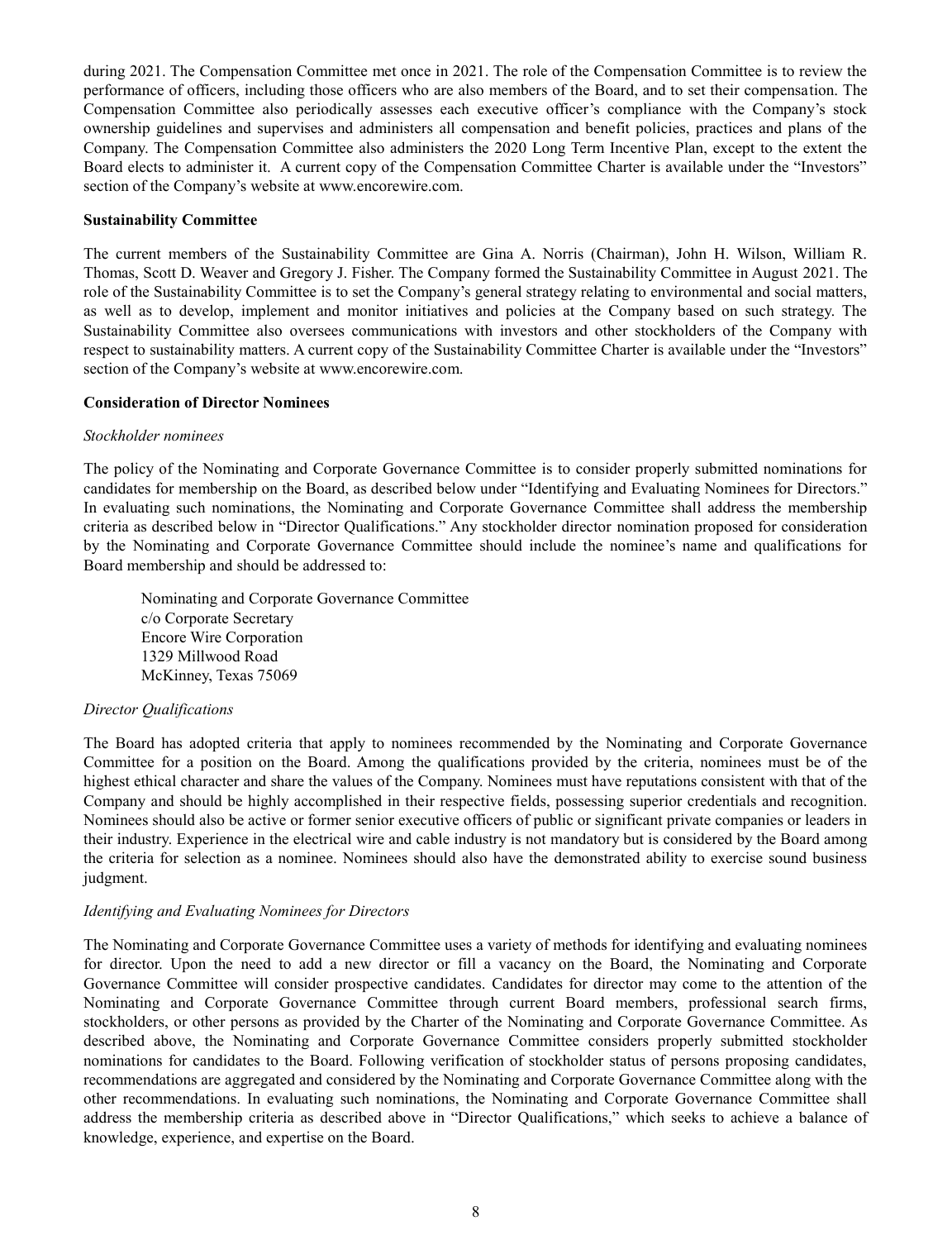during 2021. The Compensation Committee met once in 2021. The role of the Compensation Committee is to review the performance of officers, including those officers who are also members of the Board, and to set their compensation. The Compensation Committee also periodically assesses each executive officer's compliance with the Company's stock ownership guidelines and supervises and administers all compensation and benefit policies, practices and plans of the Company. The Compensation Committee also administers the 2020 Long Term Incentive Plan, except to the extent the Board elects to administer it. A current copy of the Compensation Committee Charter is available under the "Investors" section of the Company's website at www.encorewire.com.

### **Sustainability Committee**

The current members of the Sustainability Committee are Gina A. Norris (Chairman), John H. Wilson, William R. Thomas, Scott D. Weaver and Gregory J. Fisher. The Company formed the Sustainability Committee in August 2021. The role of the Sustainability Committee is to set the Company's general strategy relating to environmental and social matters, as well as to develop, implement and monitor initiatives and policies at the Company based on such strategy. The Sustainability Committee also oversees communications with investors and other stockholders of the Company with respect to sustainability matters. A current copy of the Sustainability Committee Charter is available under the "Investors" section of the Company's website at www.encorewire.com.

### **Consideration of Director Nominees**

### *Stockholder nominees*

The policy of the Nominating and Corporate Governance Committee is to consider properly submitted nominations for candidates for membership on the Board, as described below under "Identifying and Evaluating Nominees for Directors." In evaluating such nominations, the Nominating and Corporate Governance Committee shall address the membership criteria as described below in "Director Qualifications." Any stockholder director nomination proposed for consideration by the Nominating and Corporate Governance Committee should include the nominee's name and qualifications for Board membership and should be addressed to:

Nominating and Corporate Governance Committee c/o Corporate Secretary Encore Wire Corporation 1329 Millwood Road McKinney, Texas 75069

## *Director Qualifications*

The Board has adopted criteria that apply to nominees recommended by the Nominating and Corporate Governance Committee for a position on the Board. Among the qualifications provided by the criteria, nominees must be of the highest ethical character and share the values of the Company. Nominees must have reputations consistent with that of the Company and should be highly accomplished in their respective fields, possessing superior credentials and recognition. Nominees should also be active or former senior executive officers of public or significant private companies or leaders in their industry. Experience in the electrical wire and cable industry is not mandatory but is considered by the Board among the criteria for selection as a nominee. Nominees should also have the demonstrated ability to exercise sound business judgment.

## *Identifying and Evaluating Nominees for Directors*

The Nominating and Corporate Governance Committee uses a variety of methods for identifying and evaluating nominees for director. Upon the need to add a new director or fill a vacancy on the Board, the Nominating and Corporate Governance Committee will consider prospective candidates. Candidates for director may come to the attention of the Nominating and Corporate Governance Committee through current Board members, professional search firms, stockholders, or other persons as provided by the Charter of the Nominating and Corporate Governance Committee. As described above, the Nominating and Corporate Governance Committee considers properly submitted stockholder nominations for candidates to the Board. Following verification of stockholder status of persons proposing candidates, recommendations are aggregated and considered by the Nominating and Corporate Governance Committee along with the other recommendations. In evaluating such nominations, the Nominating and Corporate Governance Committee shall address the membership criteria as described above in "Director Qualifications," which seeks to achieve a balance of knowledge, experience, and expertise on the Board.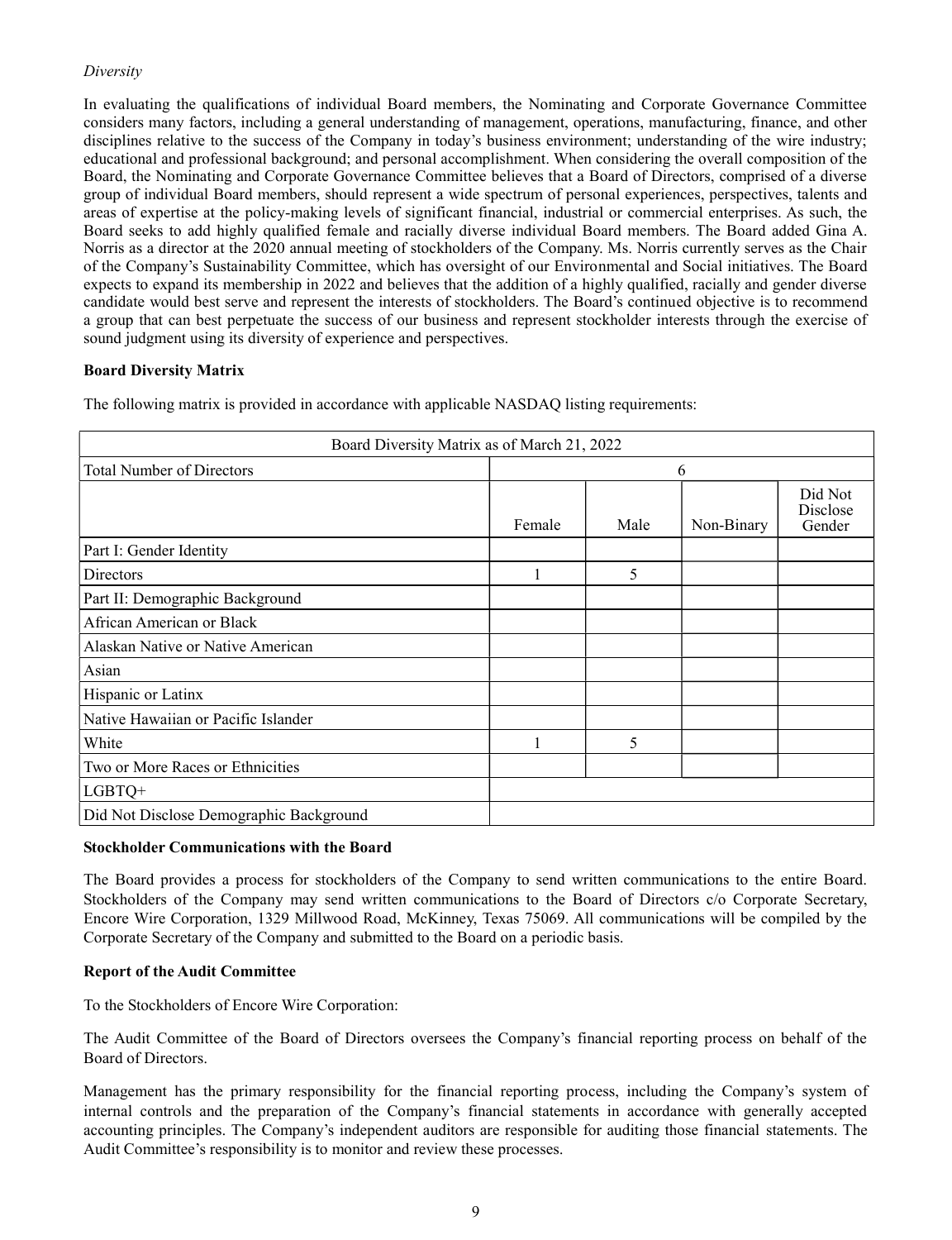# *Diversity*

In evaluating the qualifications of individual Board members, the Nominating and Corporate Governance Committee considers many factors, including a general understanding of management, operations, manufacturing, finance, and other disciplines relative to the success of the Company in today's business environment; understanding of the wire industry; educational and professional background; and personal accomplishment. When considering the overall composition of the Board, the Nominating and Corporate Governance Committee believes that a Board of Directors, comprised of a diverse group of individual Board members, should represent a wide spectrum of personal experiences, perspectives, talents and areas of expertise at the policy-making levels of significant financial, industrial or commercial enterprises. As such, the Board seeks to add highly qualified female and racially diverse individual Board members. The Board added Gina A. Norris as a director at the 2020 annual meeting of stockholders of the Company. Ms. Norris currently serves as the Chair of the Company's Sustainability Committee, which has oversight of our Environmental and Social initiatives. The Board expects to expand its membership in 2022 and believes that the addition of a highly qualified, racially and gender diverse candidate would best serve and represent the interests of stockholders. The Board's continued objective is to recommend a group that can best perpetuate the success of our business and represent stockholder interests through the exercise of sound judgment using its diversity of experience and perspectives.

## **Board Diversity Matrix**

The following matrix is provided in accordance with applicable NASDAQ listing requirements:

| Board Diversity Matrix as of March 21, 2022 |                |   |  |  |  |  |            |                               |
|---------------------------------------------|----------------|---|--|--|--|--|------------|-------------------------------|
| <b>Total Number of Directors</b>            | 6              |   |  |  |  |  |            |                               |
|                                             | Female<br>Male |   |  |  |  |  | Non-Binary | Did Not<br>Disclose<br>Gender |
| Part I: Gender Identity                     |                |   |  |  |  |  |            |                               |
| <b>Directors</b>                            |                | 5 |  |  |  |  |            |                               |
| Part II: Demographic Background             |                |   |  |  |  |  |            |                               |
| African American or Black                   |                |   |  |  |  |  |            |                               |
| Alaskan Native or Native American           |                |   |  |  |  |  |            |                               |
| Asian                                       |                |   |  |  |  |  |            |                               |
| Hispanic or Latinx                          |                |   |  |  |  |  |            |                               |
| Native Hawaiian or Pacific Islander         |                |   |  |  |  |  |            |                               |
| White                                       |                | 5 |  |  |  |  |            |                               |
| Two or More Races or Ethnicities            |                |   |  |  |  |  |            |                               |
| $LGBTQ+$                                    |                |   |  |  |  |  |            |                               |
| Did Not Disclose Demographic Background     |                |   |  |  |  |  |            |                               |

## **Stockholder Communications with the Board**

The Board provides a process for stockholders of the Company to send written communications to the entire Board. Stockholders of the Company may send written communications to the Board of Directors c/o Corporate Secretary, Encore Wire Corporation, 1329 Millwood Road, McKinney, Texas 75069. All communications will be compiled by the Corporate Secretary of the Company and submitted to the Board on a periodic basis.

## **Report of the Audit Committee**

To the Stockholders of Encore Wire Corporation:

The Audit Committee of the Board of Directors oversees the Company's financial reporting process on behalf of the Board of Directors.

Management has the primary responsibility for the financial reporting process, including the Company's system of internal controls and the preparation of the Company's financial statements in accordance with generally accepted accounting principles. The Company's independent auditors are responsible for auditing those financial statements. The Audit Committee's responsibility is to monitor and review these processes.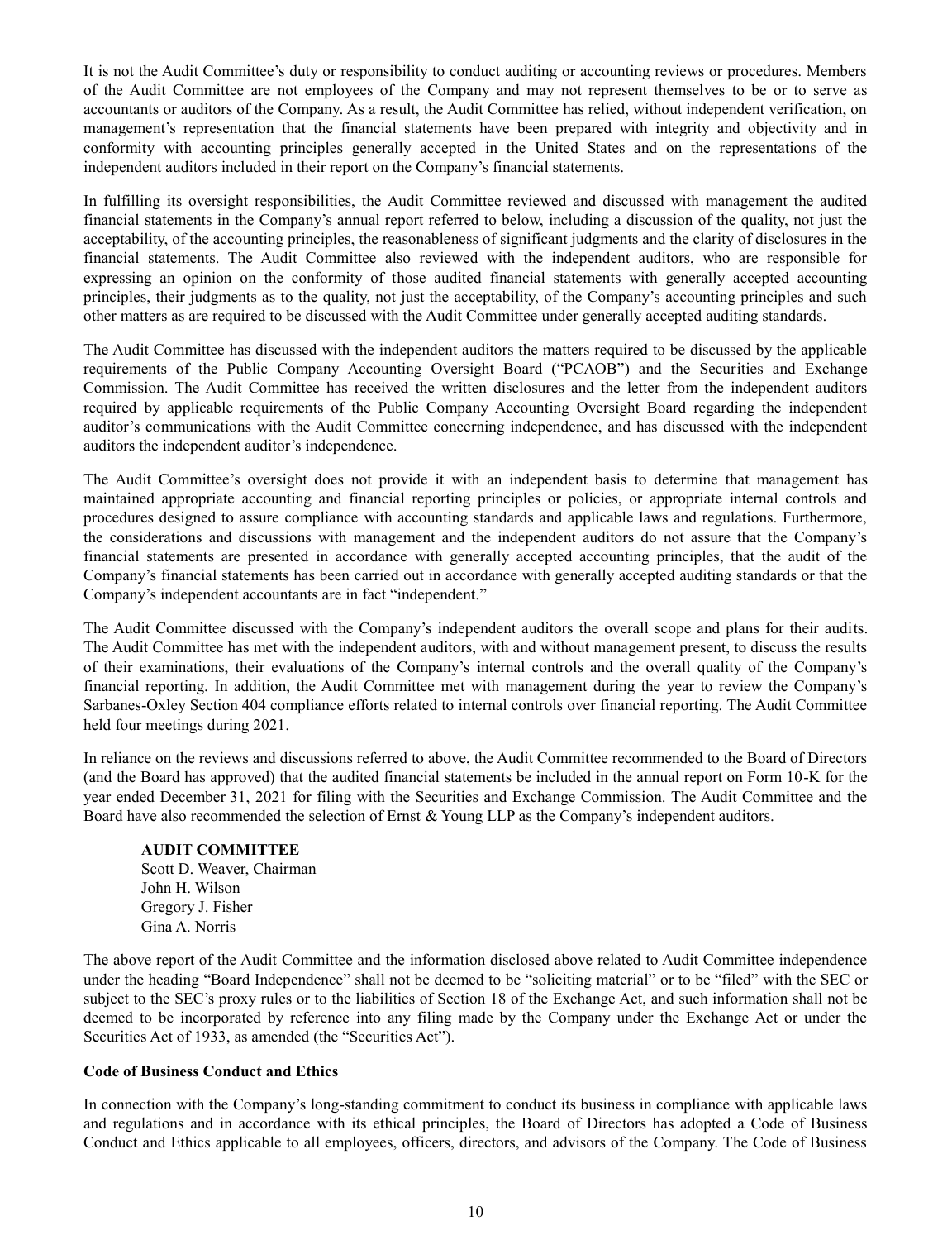It is not the Audit Committee's duty or responsibility to conduct auditing or accounting reviews or procedures. Members of the Audit Committee are not employees of the Company and may not represent themselves to be or to serve as accountants or auditors of the Company. As a result, the Audit Committee has relied, without independent verification, on management's representation that the financial statements have been prepared with integrity and objectivity and in conformity with accounting principles generally accepted in the United States and on the representations of the independent auditors included in their report on the Company's financial statements.

In fulfilling its oversight responsibilities, the Audit Committee reviewed and discussed with management the audited financial statements in the Company's annual report referred to below, including a discussion of the quality, not just the acceptability, of the accounting principles, the reasonableness of significant judgments and the clarity of disclosures in the financial statements. The Audit Committee also reviewed with the independent auditors, who are responsible for expressing an opinion on the conformity of those audited financial statements with generally accepted accounting principles, their judgments as to the quality, not just the acceptability, of the Company's accounting principles and such other matters as are required to be discussed with the Audit Committee under generally accepted auditing standards.

The Audit Committee has discussed with the independent auditors the matters required to be discussed by the applicable requirements of the Public Company Accounting Oversight Board ("PCAOB") and the Securities and Exchange Commission. The Audit Committee has received the written disclosures and the letter from the independent auditors required by applicable requirements of the Public Company Accounting Oversight Board regarding the independent auditor's communications with the Audit Committee concerning independence, and has discussed with the independent auditors the independent auditor's independence.

The Audit Committee's oversight does not provide it with an independent basis to determine that management has maintained appropriate accounting and financial reporting principles or policies, or appropriate internal controls and procedures designed to assure compliance with accounting standards and applicable laws and regulations. Furthermore, the considerations and discussions with management and the independent auditors do not assure that the Company's financial statements are presented in accordance with generally accepted accounting principles, that the audit of the Company's financial statements has been carried out in accordance with generally accepted auditing standards or that the Company's independent accountants are in fact "independent."

The Audit Committee discussed with the Company's independent auditors the overall scope and plans for their audits. The Audit Committee has met with the independent auditors, with and without management present, to discuss the results of their examinations, their evaluations of the Company's internal controls and the overall quality of the Company's financial reporting. In addition, the Audit Committee met with management during the year to review the Company's Sarbanes-Oxley Section 404 compliance efforts related to internal controls over financial reporting. The Audit Committee held four meetings during 2021.

In reliance on the reviews and discussions referred to above, the Audit Committee recommended to the Board of Directors (and the Board has approved) that the audited financial statements be included in the annual report on Form 10-K for the year ended December 31, 2021 for filing with the Securities and Exchange Commission. The Audit Committee and the Board have also recommended the selection of Ernst & Young LLP as the Company's independent auditors.

## **AUDIT COMMITTEE**

Scott D. Weaver, Chairman John H. Wilson Gregory J. Fisher Gina A. Norris

The above report of the Audit Committee and the information disclosed above related to Audit Committee independence under the heading "Board Independence" shall not be deemed to be "soliciting material" or to be "filed" with the SEC or subject to the SEC's proxy rules or to the liabilities of Section 18 of the Exchange Act, and such information shall not be deemed to be incorporated by reference into any filing made by the Company under the Exchange Act or under the Securities Act of 1933, as amended (the "Securities Act").

## **Code of Business Conduct and Ethics**

In connection with the Company's long-standing commitment to conduct its business in compliance with applicable laws and regulations and in accordance with its ethical principles, the Board of Directors has adopted a Code of Business Conduct and Ethics applicable to all employees, officers, directors, and advisors of the Company. The Code of Business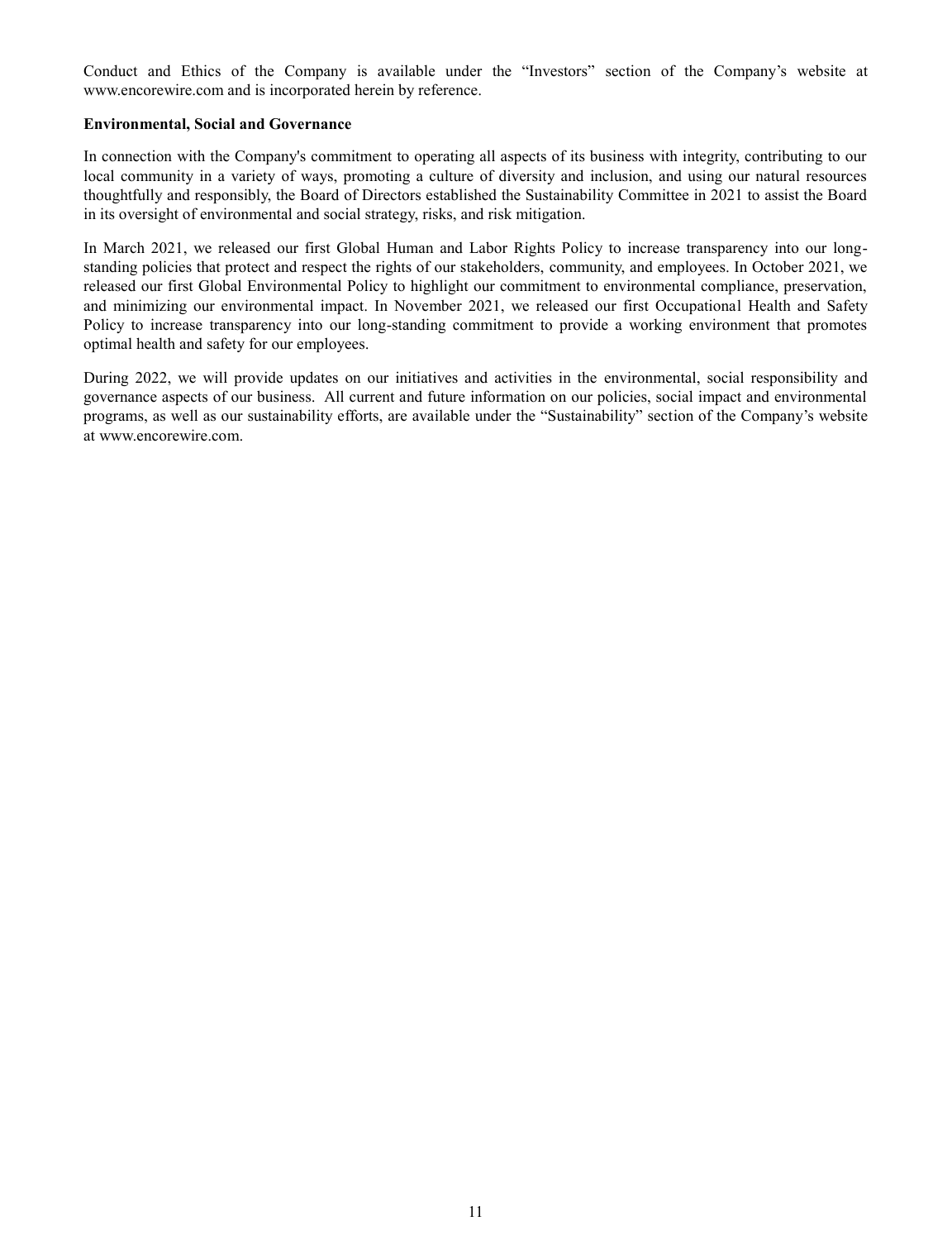Conduct and Ethics of the Company is available under the "Investors" section of the Company's website at www.encorewire.com and is incorporated herein by reference.

### **Environmental, Social and Governance**

In connection with the Company's commitment to operating all aspects of its business with integrity, contributing to our local community in a variety of ways, promoting a culture of diversity and inclusion, and using our natural resources thoughtfully and responsibly, the Board of Directors established the Sustainability Committee in 2021 to assist the Board in its oversight of environmental and social strategy, risks, and risk mitigation.

In March 2021, we released our first Global Human and Labor Rights Policy to increase transparency into our longstanding policies that protect and respect the rights of our stakeholders, community, and employees. In October 2021, we released our first Global Environmental Policy to highlight our commitment to environmental compliance, preservation, and minimizing our environmental impact. In November 2021, we released our first Occupational Health and Safety Policy to increase transparency into our long-standing commitment to provide a working environment that promotes optimal health and safety for our employees.

During 2022, we will provide updates on our initiatives and activities in the environmental, social responsibility and governance aspects of our business. All current and future information on our policies, social impact and environmental programs, as well as our sustainability efforts, are available under the "Sustainability" section of the Company's website at www.encorewire.com.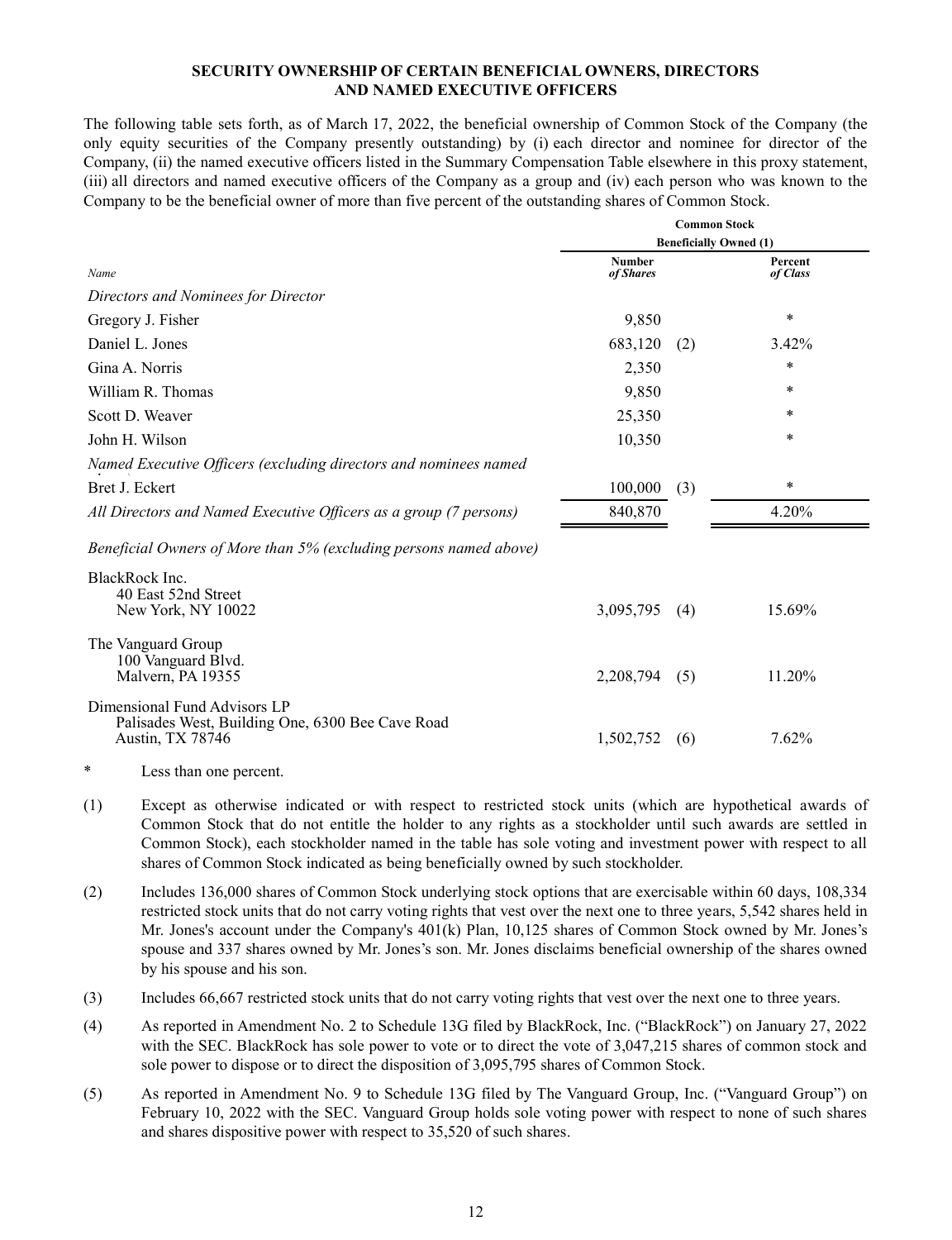## **SECURITY OWNERSHIP OF CERTAIN BENEFICIAL OWNERS, DIRECTORS AND NAMED EXECUTIVE OFFICERS**

The following table sets forth, as of March 17, 2022, the beneficial ownership of Common Stock of the Company (the only equity securities of the Company presently outstanding) by (i) each director and nominee for director of the Company, (ii) the named executive officers listed in the Summary Compensation Table elsewhere in this proxy statement, (iii) all directors and named executive officers of the Company as a group and (iv) each person who was known to the Company to be the beneficial owner of more than five percent of the outstanding shares of Common Stock.

|                                                                                                      | <b>Common Stock</b>        |     |                               |  |  |
|------------------------------------------------------------------------------------------------------|----------------------------|-----|-------------------------------|--|--|
|                                                                                                      |                            |     | <b>Beneficially Owned (1)</b> |  |  |
| Name                                                                                                 | <b>Number</b><br>of Shares |     | Percent<br>of Class           |  |  |
| Directors and Nominees for Director                                                                  |                            |     |                               |  |  |
| Gregory J. Fisher                                                                                    | 9,850                      |     | $\ast$                        |  |  |
| Daniel L. Jones                                                                                      | 683,120                    | (2) | 3.42%                         |  |  |
| Gina A. Norris                                                                                       | 2,350                      |     | $\ast$                        |  |  |
| William R. Thomas                                                                                    | 9,850                      |     | ∗                             |  |  |
| Scott D. Weaver                                                                                      | 25,350                     |     | *                             |  |  |
| John H. Wilson                                                                                       | 10,350                     |     | $\ast$                        |  |  |
| Named Executive Officers (excluding directors and nominees named                                     |                            |     |                               |  |  |
| Bret J. Eckert                                                                                       | 100,000                    | (3) | $\ast$                        |  |  |
| All Directors and Named Executive Officers as a group (7 persons)                                    | 840,870                    |     | 4.20%                         |  |  |
| Beneficial Owners of More than 5% (excluding persons named above)                                    |                            |     |                               |  |  |
| BlackRock Inc.<br>40 East 52nd Street<br>New York, NY 10022                                          | 3,095,795                  | (4) | 15.69%                        |  |  |
| The Vanguard Group<br>100 Vanguard Blvd.<br>Malvern, PA 19355                                        | 2,208,794                  | (5) | 11.20%                        |  |  |
| Dimensional Fund Advisors LP<br>Palisades West, Building One, 6300 Bee Cave Road<br>Austin, TX 78746 | 1,502,752                  | (6) | 7.62%                         |  |  |

- \* Less than one percent.
- (1) Except as otherwise indicated or with respect to restricted stock units (which are hypothetical awards of Common Stock that do not entitle the holder to any rights as a stockholder until such awards are settled in Common Stock), each stockholder named in the table has sole voting and investment power with respect to all shares of Common Stock indicated as being beneficially owned by such stockholder.
- (2) Includes 136,000 shares of Common Stock underlying stock options that are exercisable within 60 days, 108,334 restricted stock units that do not carry voting rights that vest over the next one to three years, 5,542 shares held in Mr. Jones's account under the Company's 401(k) Plan, 10,125 shares of Common Stock owned by Mr. Jones's spouse and 337 shares owned by Mr. Jones's son. Mr. Jones disclaims beneficial ownership of the shares owned by his spouse and his son.
- (3) Includes 66,667 restricted stock units that do not carry voting rights that vest over the next one to three years.
- (4) As reported in Amendment No. 2 to Schedule 13G filed by BlackRock, Inc. ("BlackRock") on January 27, 2022 with the SEC. BlackRock has sole power to vote or to direct the vote of 3,047,215 shares of common stock and sole power to dispose or to direct the disposition of 3,095,795 shares of Common Stock.
- (5) As reported in Amendment No. 9 to Schedule 13G filed by The Vanguard Group, Inc. ("Vanguard Group") on February 10, 2022 with the SEC. Vanguard Group holds sole voting power with respect to none of such shares and shares dispositive power with respect to 35,520 of such shares.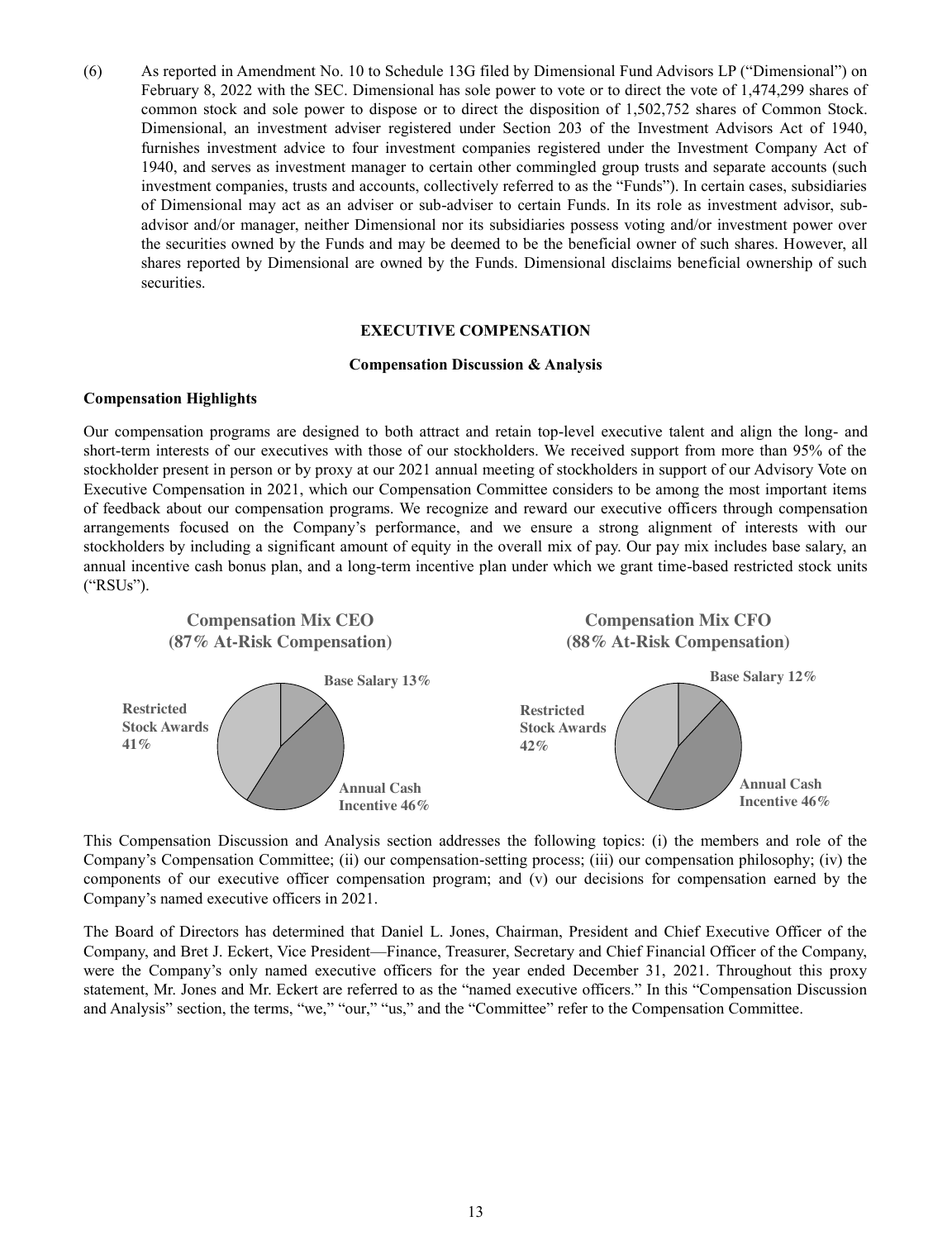(6) As reported in Amendment No. 10 to Schedule 13G filed by Dimensional Fund Advisors LP ("Dimensional") on February 8, 2022 with the SEC. Dimensional has sole power to vote or to direct the vote of 1,474,299 shares of common stock and sole power to dispose or to direct the disposition of 1,502,752 shares of Common Stock. Dimensional, an investment adviser registered under Section 203 of the Investment Advisors Act of 1940, furnishes investment advice to four investment companies registered under the Investment Company Act of 1940, and serves as investment manager to certain other commingled group trusts and separate accounts (such investment companies, trusts and accounts, collectively referred to as the "Funds"). In certain cases, subsidiaries of Dimensional may act as an adviser or sub-adviser to certain Funds. In its role as investment advisor, subadvisor and/or manager, neither Dimensional nor its subsidiaries possess voting and/or investment power over the securities owned by the Funds and may be deemed to be the beneficial owner of such shares. However, all shares reported by Dimensional are owned by the Funds. Dimensional disclaims beneficial ownership of such securities.

#### **EXECUTIVE COMPENSATION**

#### **Compensation Discussion & Analysis**

#### **Compensation Highlights**

Our compensation programs are designed to both attract and retain top-level executive talent and align the long- and short-term interests of our executives with those of our stockholders. We received support from more than 95% of the stockholder present in person or by proxy at our 2021 annual meeting of stockholders in support of our Advisory Vote on Executive Compensation in 2021, which our Compensation Committee considers to be among the most important items of feedback about our compensation programs. We recognize and reward our executive officers through compensation arrangements focused on the Company's performance, and we ensure a strong alignment of interests with our stockholders by including a significant amount of equity in the overall mix of pay. Our pay mix includes base salary, an annual incentive cash bonus plan, and a long-term incentive plan under which we grant time-based restricted stock units ("RSUs").



This Compensation Discussion and Analysis section addresses the following topics: (i) the members and role of the Company's Compensation Committee; (ii) our compensation-setting process; (iii) our compensation philosophy; (iv) the components of our executive officer compensation program; and (v) our decisions for compensation earned by the Company's named executive officers in 2021.

The Board of Directors has determined that Daniel L. Jones, Chairman, President and Chief Executive Officer of the Company, and Bret J. Eckert, Vice President—Finance, Treasurer, Secretary and Chief Financial Officer of the Company, were the Company's only named executive officers for the year ended December 31, 2021. Throughout this proxy statement, Mr. Jones and Mr. Eckert are referred to as the "named executive officers." In this "Compensation Discussion and Analysis" section, the terms, "we," "our," "us," and the "Committee" refer to the Compensation Committee.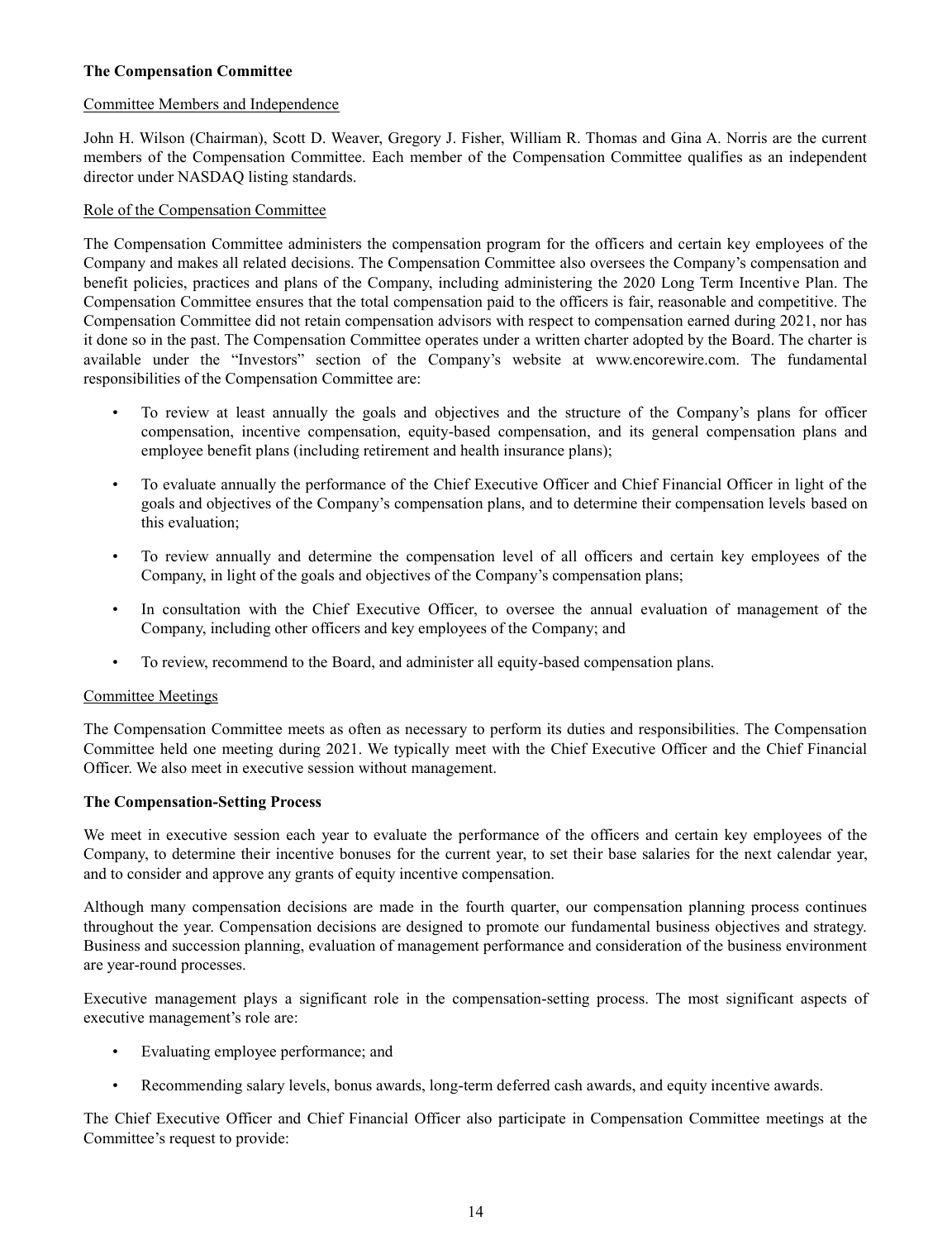# **The Compensation Committee**

# Committee Members and Independence

John H. Wilson (Chairman), Scott D. Weaver, Gregory J. Fisher, William R. Thomas and Gina A. Norris are the current members of the Compensation Committee. Each member of the Compensation Committee qualifies as an independent director under NASDAQ listing standards.

# Role of the Compensation Committee

The Compensation Committee administers the compensation program for the officers and certain key employees of the Company and makes all related decisions. The Compensation Committee also oversees the Company's compensation and benefit policies, practices and plans of the Company, including administering the 2020 Long Term Incentive Plan. The Compensation Committee ensures that the total compensation paid to the officers is fair, reasonable and competitive. The Compensation Committee did not retain compensation advisors with respect to compensation earned during 2021, nor has it done so in the past. The Compensation Committee operates under a written charter adopted by the Board. The charter is available under the "Investors" section of the Company's website at www.encorewire.com. The fundamental responsibilities of the Compensation Committee are:

- To review at least annually the goals and objectives and the structure of the Company's plans for officer compensation, incentive compensation, equity-based compensation, and its general compensation plans and employee benefit plans (including retirement and health insurance plans);
- To evaluate annually the performance of the Chief Executive Officer and Chief Financial Officer in light of the goals and objectives of the Company's compensation plans, and to determine their compensation levels based on this evaluation;
- To review annually and determine the compensation level of all officers and certain key employees of the Company, in light of the goals and objectives of the Company's compensation plans;
- In consultation with the Chief Executive Officer, to oversee the annual evaluation of management of the Company, including other officers and key employees of the Company; and
- To review, recommend to the Board, and administer all equity-based compensation plans.

## Committee Meetings

The Compensation Committee meets as often as necessary to perform its duties and responsibilities. The Compensation Committee held one meeting during 2021. We typically meet with the Chief Executive Officer and the Chief Financial Officer. We also meet in executive session without management.

## **The Compensation-Setting Process**

We meet in executive session each year to evaluate the performance of the officers and certain key employees of the Company, to determine their incentive bonuses for the current year, to set their base salaries for the next calendar year, and to consider and approve any grants of equity incentive compensation.

Although many compensation decisions are made in the fourth quarter, our compensation planning process continues throughout the year. Compensation decisions are designed to promote our fundamental business objectives and strategy. Business and succession planning, evaluation of management performance and consideration of the business environment are year-round processes.

Executive management plays a significant role in the compensation-setting process. The most significant aspects of executive management's role are:

- Evaluating employee performance; and
- Recommending salary levels, bonus awards, long-term deferred cash awards, and equity incentive awards.

The Chief Executive Officer and Chief Financial Officer also participate in Compensation Committee meetings at the Committee's request to provide: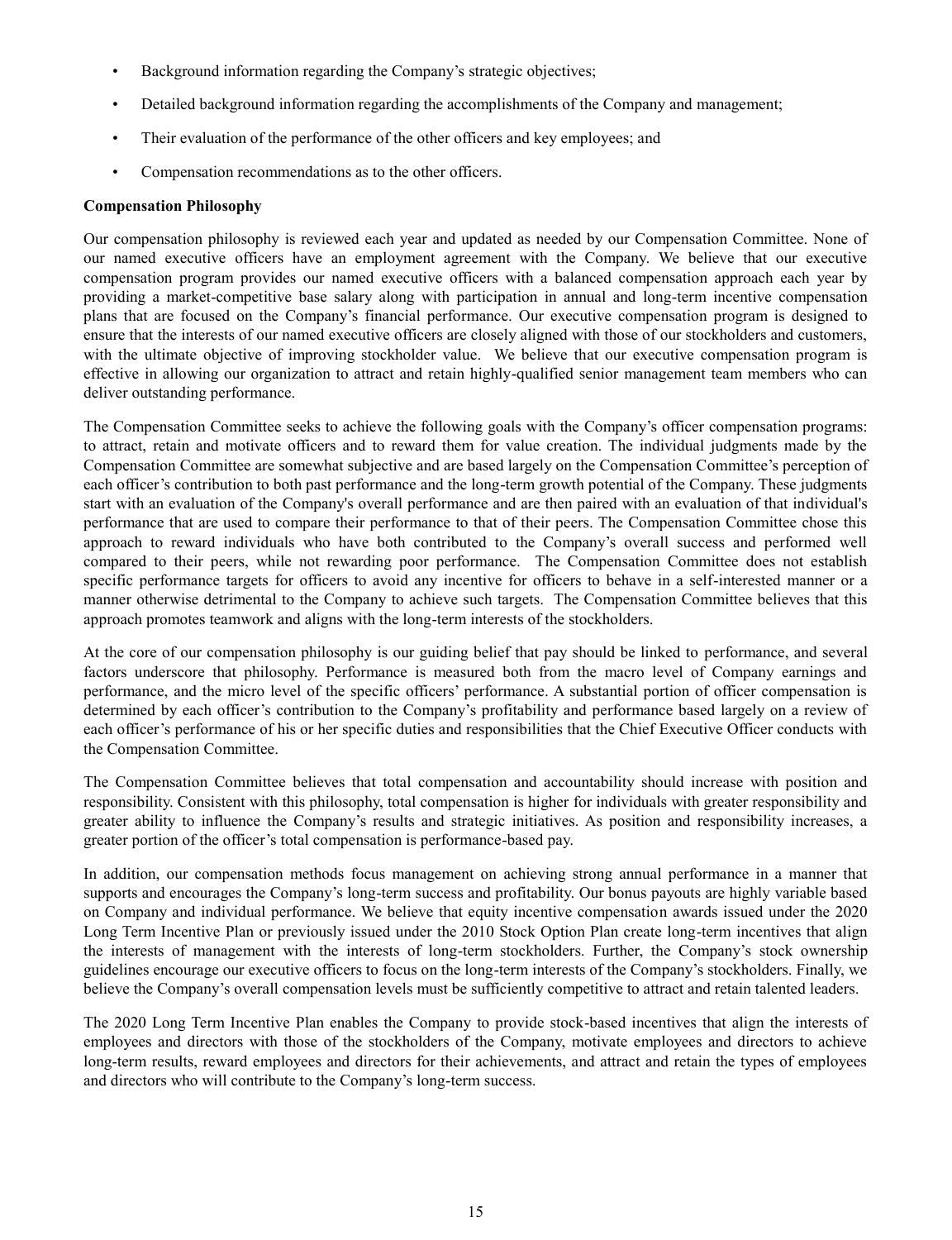- Background information regarding the Company's strategic objectives;
- Detailed background information regarding the accomplishments of the Company and management;
- Their evaluation of the performance of the other officers and key employees; and
- Compensation recommendations as to the other officers.

### **Compensation Philosophy**

Our compensation philosophy is reviewed each year and updated as needed by our Compensation Committee. None of our named executive officers have an employment agreement with the Company. We believe that our executive compensation program provides our named executive officers with a balanced compensation approach each year by providing a market-competitive base salary along with participation in annual and long-term incentive compensation plans that are focused on the Company's financial performance. Our executive compensation program is designed to ensure that the interests of our named executive officers are closely aligned with those of our stockholders and customers, with the ultimate objective of improving stockholder value. We believe that our executive compensation program is effective in allowing our organization to attract and retain highly-qualified senior management team members who can deliver outstanding performance.

The Compensation Committee seeks to achieve the following goals with the Company's officer compensation programs: to attract, retain and motivate officers and to reward them for value creation. The individual judgments made by the Compensation Committee are somewhat subjective and are based largely on the Compensation Committee's perception of each officer's contribution to both past performance and the long-term growth potential of the Company. These judgments start with an evaluation of the Company's overall performance and are then paired with an evaluation of that individual's performance that are used to compare their performance to that of their peers. The Compensation Committee chose this approach to reward individuals who have both contributed to the Company's overall success and performed well compared to their peers, while not rewarding poor performance. The Compensation Committee does not establish specific performance targets for officers to avoid any incentive for officers to behave in a self-interested manner or a manner otherwise detrimental to the Company to achieve such targets. The Compensation Committee believes that this approach promotes teamwork and aligns with the long-term interests of the stockholders.

At the core of our compensation philosophy is our guiding belief that pay should be linked to performance, and several factors underscore that philosophy. Performance is measured both from the macro level of Company earnings and performance, and the micro level of the specific officers' performance. A substantial portion of officer compensation is determined by each officer's contribution to the Company's profitability and performance based largely on a review of each officer's performance of his or her specific duties and responsibilities that the Chief Executive Officer conducts with the Compensation Committee.

The Compensation Committee believes that total compensation and accountability should increase with position and responsibility. Consistent with this philosophy, total compensation is higher for individuals with greater responsibility and greater ability to influence the Company's results and strategic initiatives. As position and responsibility increases, a greater portion of the officer's total compensation is performance-based pay.

In addition, our compensation methods focus management on achieving strong annual performance in a manner that supports and encourages the Company's long-term success and profitability. Our bonus payouts are highly variable based on Company and individual performance. We believe that equity incentive compensation awards issued under the 2020 Long Term Incentive Plan or previously issued under the 2010 Stock Option Plan create long-term incentives that align the interests of management with the interests of long-term stockholders. Further, the Company's stock ownership guidelines encourage our executive officers to focus on the long-term interests of the Company's stockholders. Finally, we believe the Company's overall compensation levels must be sufficiently competitive to attract and retain talented leaders.

The 2020 Long Term Incentive Plan enables the Company to provide stock-based incentives that align the interests of employees and directors with those of the stockholders of the Company, motivate employees and directors to achieve long-term results, reward employees and directors for their achievements, and attract and retain the types of employees and directors who will contribute to the Company's long-term success.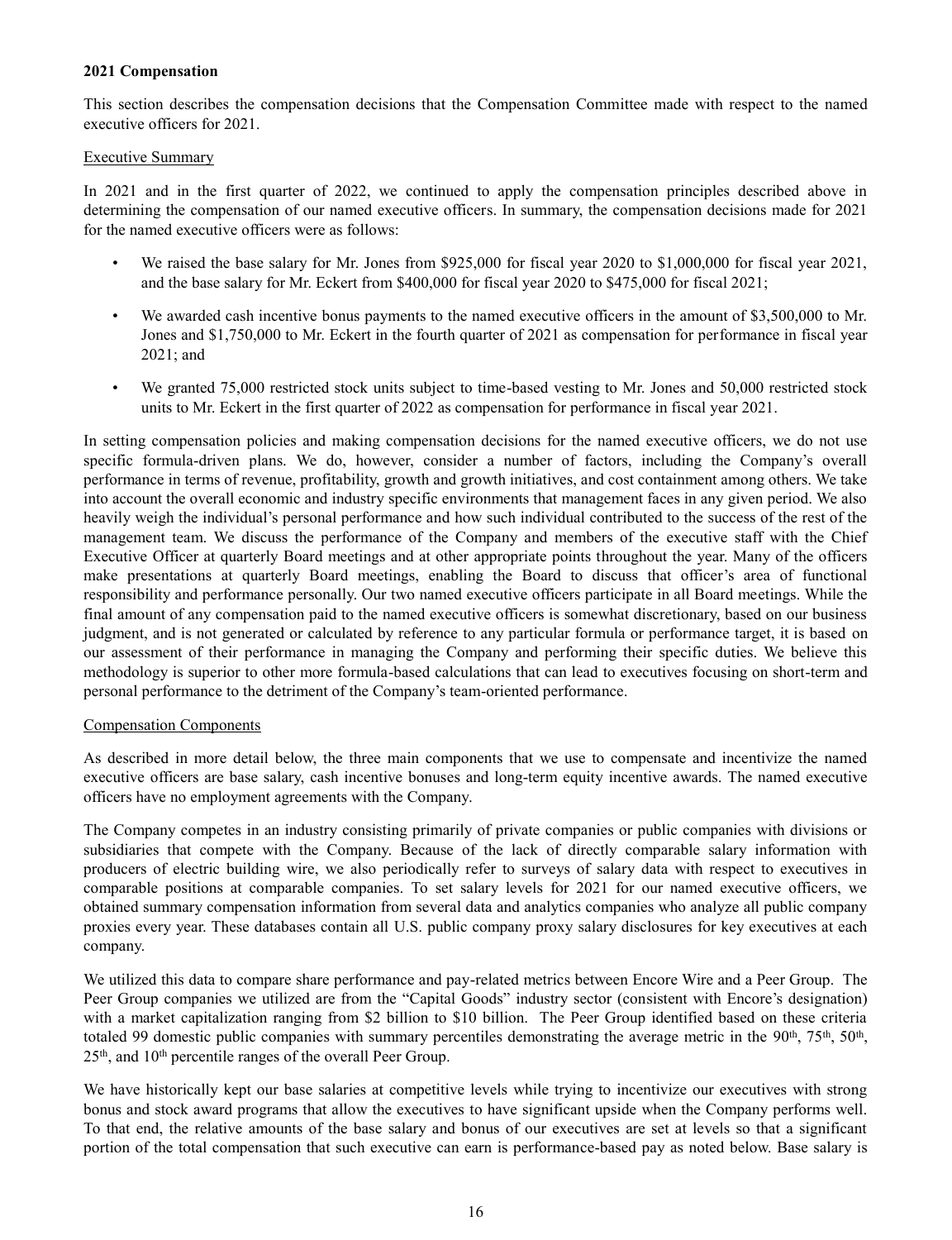## **2021 Compensation**

This section describes the compensation decisions that the Compensation Committee made with respect to the named executive officers for 2021.

#### Executive Summary

In 2021 and in the first quarter of 2022, we continued to apply the compensation principles described above in determining the compensation of our named executive officers. In summary, the compensation decisions made for 2021 for the named executive officers were as follows:

- We raised the base salary for Mr. Jones from \$925,000 for fiscal year 2020 to \$1,000,000 for fiscal year 2021, and the base salary for Mr. Eckert from \$400,000 for fiscal year 2020 to \$475,000 for fiscal 2021;
- We awarded cash incentive bonus payments to the named executive officers in the amount of \$3,500,000 to Mr. Jones and \$1,750,000 to Mr. Eckert in the fourth quarter of 2021 as compensation for performance in fiscal year 2021; and
- We granted 75,000 restricted stock units subject to time-based vesting to Mr. Jones and 50,000 restricted stock units to Mr. Eckert in the first quarter of 2022 as compensation for performance in fiscal year 2021.

In setting compensation policies and making compensation decisions for the named executive officers, we do not use specific formula-driven plans. We do, however, consider a number of factors, including the Company's overall performance in terms of revenue, profitability, growth and growth initiatives, and cost containment among others. We take into account the overall economic and industry specific environments that management faces in any given period. We also heavily weigh the individual's personal performance and how such individual contributed to the success of the rest of the management team. We discuss the performance of the Company and members of the executive staff with the Chief Executive Officer at quarterly Board meetings and at other appropriate points throughout the year. Many of the officers make presentations at quarterly Board meetings, enabling the Board to discuss that officer's area of functional responsibility and performance personally. Our two named executive officers participate in all Board meetings. While the final amount of any compensation paid to the named executive officers is somewhat discretionary, based on our business judgment, and is not generated or calculated by reference to any particular formula or performance target, it is based on our assessment of their performance in managing the Company and performing their specific duties. We believe this methodology is superior to other more formula-based calculations that can lead to executives focusing on short-term and personal performance to the detriment of the Company's team-oriented performance.

#### Compensation Components

As described in more detail below, the three main components that we use to compensate and incentivize the named executive officers are base salary, cash incentive bonuses and long-term equity incentive awards. The named executive officers have no employment agreements with the Company.

The Company competes in an industry consisting primarily of private companies or public companies with divisions or subsidiaries that compete with the Company. Because of the lack of directly comparable salary information with producers of electric building wire, we also periodically refer to surveys of salary data with respect to executives in comparable positions at comparable companies. To set salary levels for 2021 for our named executive officers, we obtained summary compensation information from several data and analytics companies who analyze all public company proxies every year. These databases contain all U.S. public company proxy salary disclosures for key executives at each company.

We utilized this data to compare share performance and pay-related metrics between Encore Wire and a Peer Group. The Peer Group companies we utilized are from the "Capital Goods" industry sector (consistent with Encore's designation) with a market capitalization ranging from \$2 billion to \$10 billion. The Peer Group identified based on these criteria totaled 99 domestic public companies with summary percentiles demonstrating the average metric in the  $90<sup>th</sup>$ ,  $75<sup>th</sup>$ ,  $50<sup>th</sup>$ , 25<sup>th</sup>, and 10<sup>th</sup> percentile ranges of the overall Peer Group.

We have historically kept our base salaries at competitive levels while trying to incentivize our executives with strong bonus and stock award programs that allow the executives to have significant upside when the Company performs well. To that end, the relative amounts of the base salary and bonus of our executives are set at levels so that a significant portion of the total compensation that such executive can earn is performance-based pay as noted below. Base salary is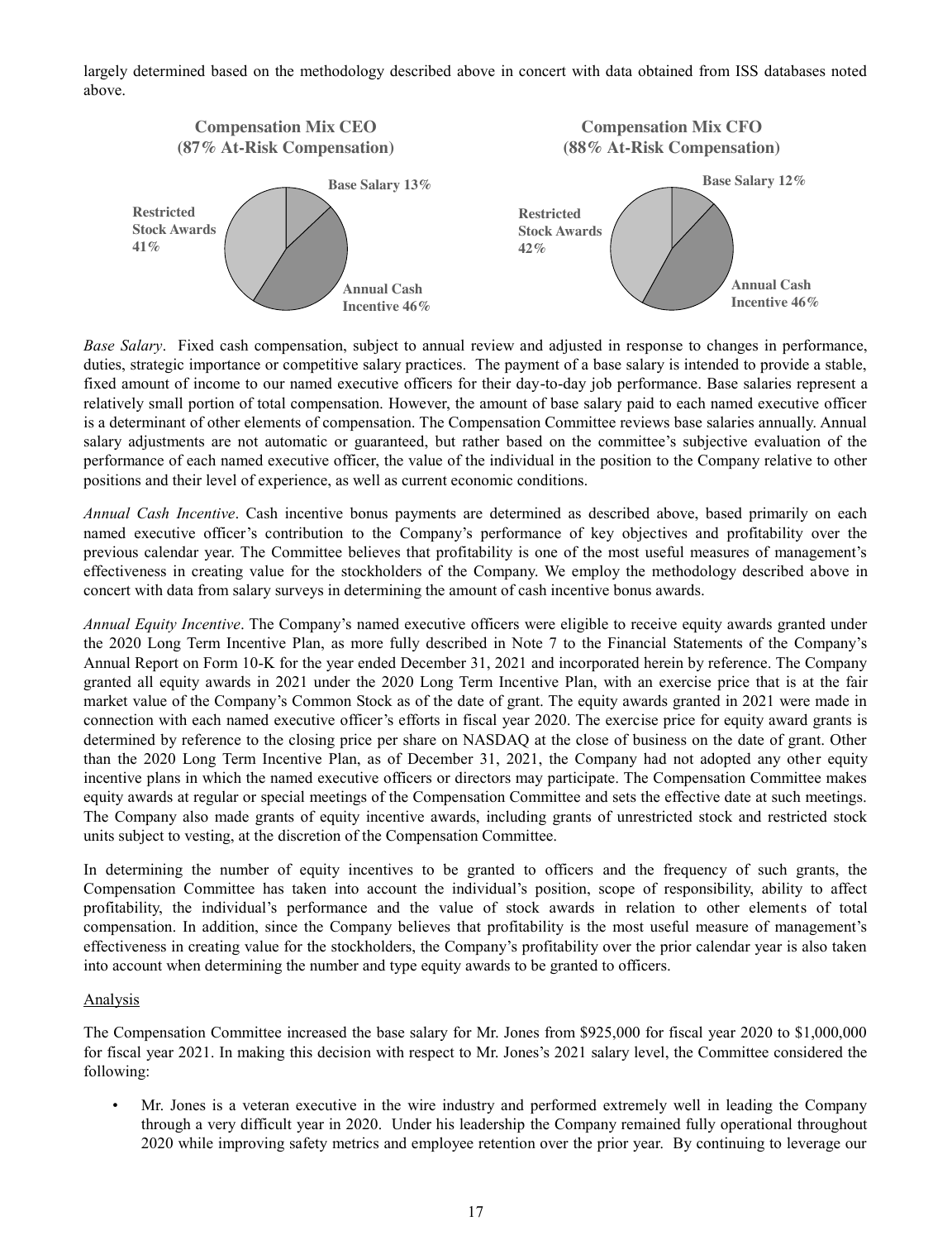largely determined based on the methodology described above in concert with data obtained from ISS databases noted above.



*Base Salary*. Fixed cash compensation, subject to annual review and adjusted in response to changes in performance, duties, strategic importance or competitive salary practices. The payment of a base salary is intended to provide a stable, fixed amount of income to our named executive officers for their day-to-day job performance. Base salaries represent a relatively small portion of total compensation. However, the amount of base salary paid to each named executive officer is a determinant of other elements of compensation. The Compensation Committee reviews base salaries annually. Annual salary adjustments are not automatic or guaranteed, but rather based on the committee's subjective evaluation of the performance of each named executive officer, the value of the individual in the position to the Company relative to other positions and their level of experience, as well as current economic conditions.

*Annual Cash Incentive*. Cash incentive bonus payments are determined as described above, based primarily on each named executive officer's contribution to the Company's performance of key objectives and profitability over the previous calendar year. The Committee believes that profitability is one of the most useful measures of management's effectiveness in creating value for the stockholders of the Company. We employ the methodology described above in concert with data from salary surveys in determining the amount of cash incentive bonus awards.

*Annual Equity Incentive*. The Company's named executive officers were eligible to receive equity awards granted under the 2020 Long Term Incentive Plan, as more fully described in Note 7 to the Financial Statements of the Company's Annual Report on Form 10-K for the year ended December 31, 2021 and incorporated herein by reference. The Company granted all equity awards in 2021 under the 2020 Long Term Incentive Plan, with an exercise price that is at the fair market value of the Company's Common Stock as of the date of grant. The equity awards granted in 2021 were made in connection with each named executive officer's efforts in fiscal year 2020. The exercise price for equity award grants is determined by reference to the closing price per share on NASDAQ at the close of business on the date of grant. Other than the 2020 Long Term Incentive Plan, as of December 31, 2021, the Company had not adopted any other equity incentive plans in which the named executive officers or directors may participate. The Compensation Committee makes equity awards at regular or special meetings of the Compensation Committee and sets the effective date at such meetings. The Company also made grants of equity incentive awards, including grants of unrestricted stock and restricted stock units subject to vesting, at the discretion of the Compensation Committee.

In determining the number of equity incentives to be granted to officers and the frequency of such grants, the Compensation Committee has taken into account the individual's position, scope of responsibility, ability to affect profitability, the individual's performance and the value of stock awards in relation to other elements of total compensation. In addition, since the Company believes that profitability is the most useful measure of management's effectiveness in creating value for the stockholders, the Company's profitability over the prior calendar year is also taken into account when determining the number and type equity awards to be granted to officers.

## Analysis

The Compensation Committee increased the base salary for Mr. Jones from \$925,000 for fiscal year 2020 to \$1,000,000 for fiscal year 2021. In making this decision with respect to Mr. Jones's 2021 salary level, the Committee considered the following:

• Mr. Jones is a veteran executive in the wire industry and performed extremely well in leading the Company through a very difficult year in 2020. Under his leadership the Company remained fully operational throughout 2020 while improving safety metrics and employee retention over the prior year. By continuing to leverage our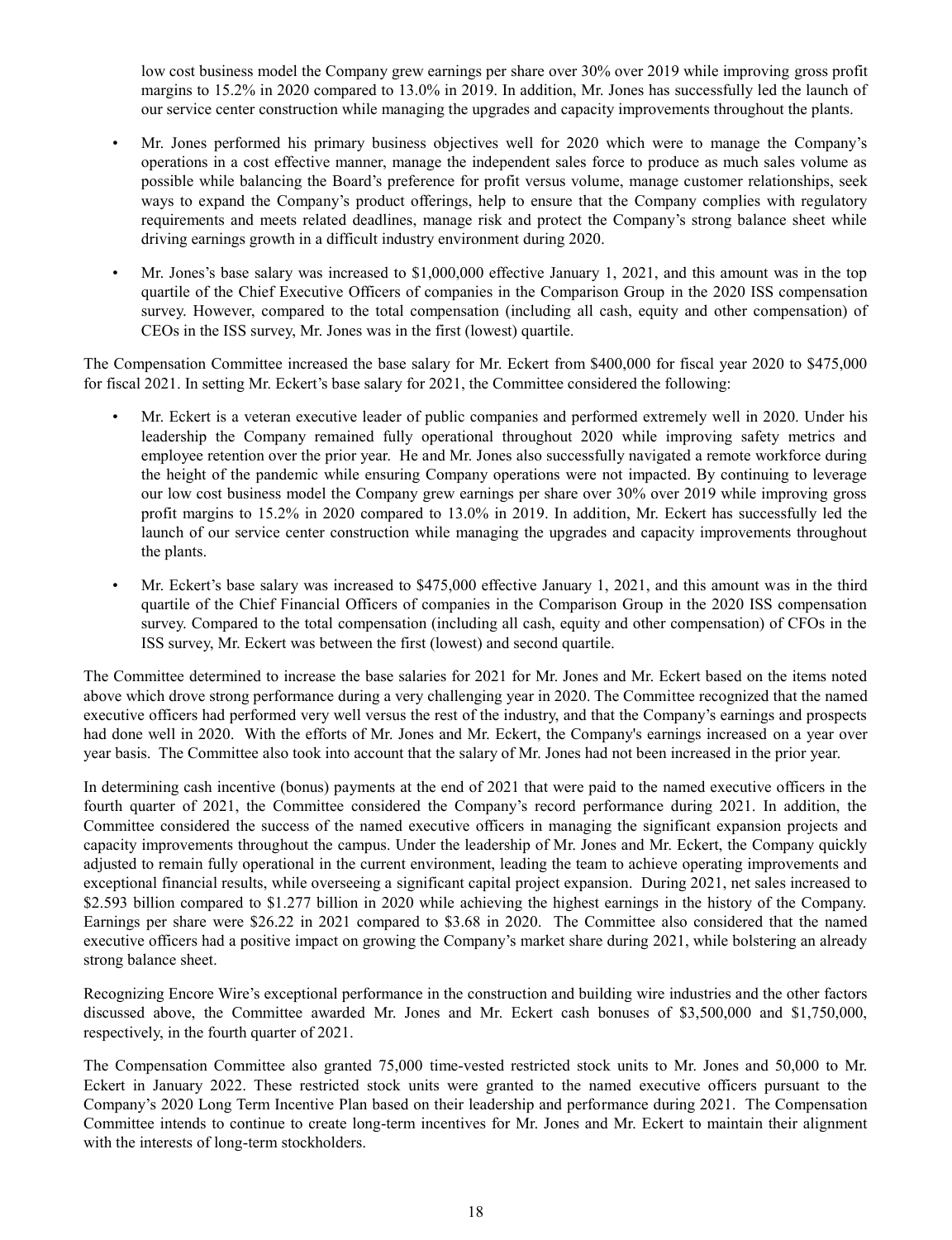low cost business model the Company grew earnings per share over 30% over 2019 while improving gross profit margins to 15.2% in 2020 compared to 13.0% in 2019. In addition, Mr. Jones has successfully led the launch of our service center construction while managing the upgrades and capacity improvements throughout the plants.

- Mr. Jones performed his primary business objectives well for 2020 which were to manage the Company's operations in a cost effective manner, manage the independent sales force to produce as much sales volume as possible while balancing the Board's preference for profit versus volume, manage customer relationships, seek ways to expand the Company's product offerings, help to ensure that the Company complies with regulatory requirements and meets related deadlines, manage risk and protect the Company's strong balance sheet while driving earnings growth in a difficult industry environment during 2020.
- Mr. Jones's base salary was increased to \$1,000,000 effective January 1, 2021, and this amount was in the top quartile of the Chief Executive Officers of companies in the Comparison Group in the 2020 ISS compensation survey. However, compared to the total compensation (including all cash, equity and other compensation) of CEOs in the ISS survey, Mr. Jones was in the first (lowest) quartile.

The Compensation Committee increased the base salary for Mr. Eckert from \$400,000 for fiscal year 2020 to \$475,000 for fiscal 2021. In setting Mr. Eckert's base salary for 2021, the Committee considered the following:

- Mr. Eckert is a veteran executive leader of public companies and performed extremely well in 2020. Under his leadership the Company remained fully operational throughout 2020 while improving safety metrics and employee retention over the prior year. He and Mr. Jones also successfully navigated a remote workforce during the height of the pandemic while ensuring Company operations were not impacted. By continuing to leverage our low cost business model the Company grew earnings per share over 30% over 2019 while improving gross profit margins to 15.2% in 2020 compared to 13.0% in 2019. In addition, Mr. Eckert has successfully led the launch of our service center construction while managing the upgrades and capacity improvements throughout the plants.
- Mr. Eckert's base salary was increased to \$475,000 effective January 1, 2021, and this amount was in the third quartile of the Chief Financial Officers of companies in the Comparison Group in the 2020 ISS compensation survey. Compared to the total compensation (including all cash, equity and other compensation) of CFOs in the ISS survey, Mr. Eckert was between the first (lowest) and second quartile.

The Committee determined to increase the base salaries for 2021 for Mr. Jones and Mr. Eckert based on the items noted above which drove strong performance during a very challenging year in 2020. The Committee recognized that the named executive officers had performed very well versus the rest of the industry, and that the Company's earnings and prospects had done well in 2020. With the efforts of Mr. Jones and Mr. Eckert, the Company's earnings increased on a year over year basis. The Committee also took into account that the salary of Mr. Jones had not been increased in the prior year.

In determining cash incentive (bonus) payments at the end of 2021 that were paid to the named executive officers in the fourth quarter of 2021, the Committee considered the Company's record performance during 2021. In addition, the Committee considered the success of the named executive officers in managing the significant expansion projects and capacity improvements throughout the campus. Under the leadership of Mr. Jones and Mr. Eckert, the Company quickly adjusted to remain fully operational in the current environment, leading the team to achieve operating improvements and exceptional financial results, while overseeing a significant capital project expansion. During 2021, net sales increased to \$2.593 billion compared to \$1.277 billion in 2020 while achieving the highest earnings in the history of the Company. Earnings per share were \$26.22 in 2021 compared to \$3.68 in 2020. The Committee also considered that the named executive officers had a positive impact on growing the Company's market share during 2021, while bolstering an already strong balance sheet.

Recognizing Encore Wire's exceptional performance in the construction and building wire industries and the other factors discussed above, the Committee awarded Mr. Jones and Mr. Eckert cash bonuses of \$3,500,000 and \$1,750,000, respectively, in the fourth quarter of 2021.

The Compensation Committee also granted 75,000 time-vested restricted stock units to Mr. Jones and 50,000 to Mr. Eckert in January 2022. These restricted stock units were granted to the named executive officers pursuant to the Company's 2020 Long Term Incentive Plan based on their leadership and performance during 2021. The Compensation Committee intends to continue to create long-term incentives for Mr. Jones and Mr. Eckert to maintain their alignment with the interests of long-term stockholders.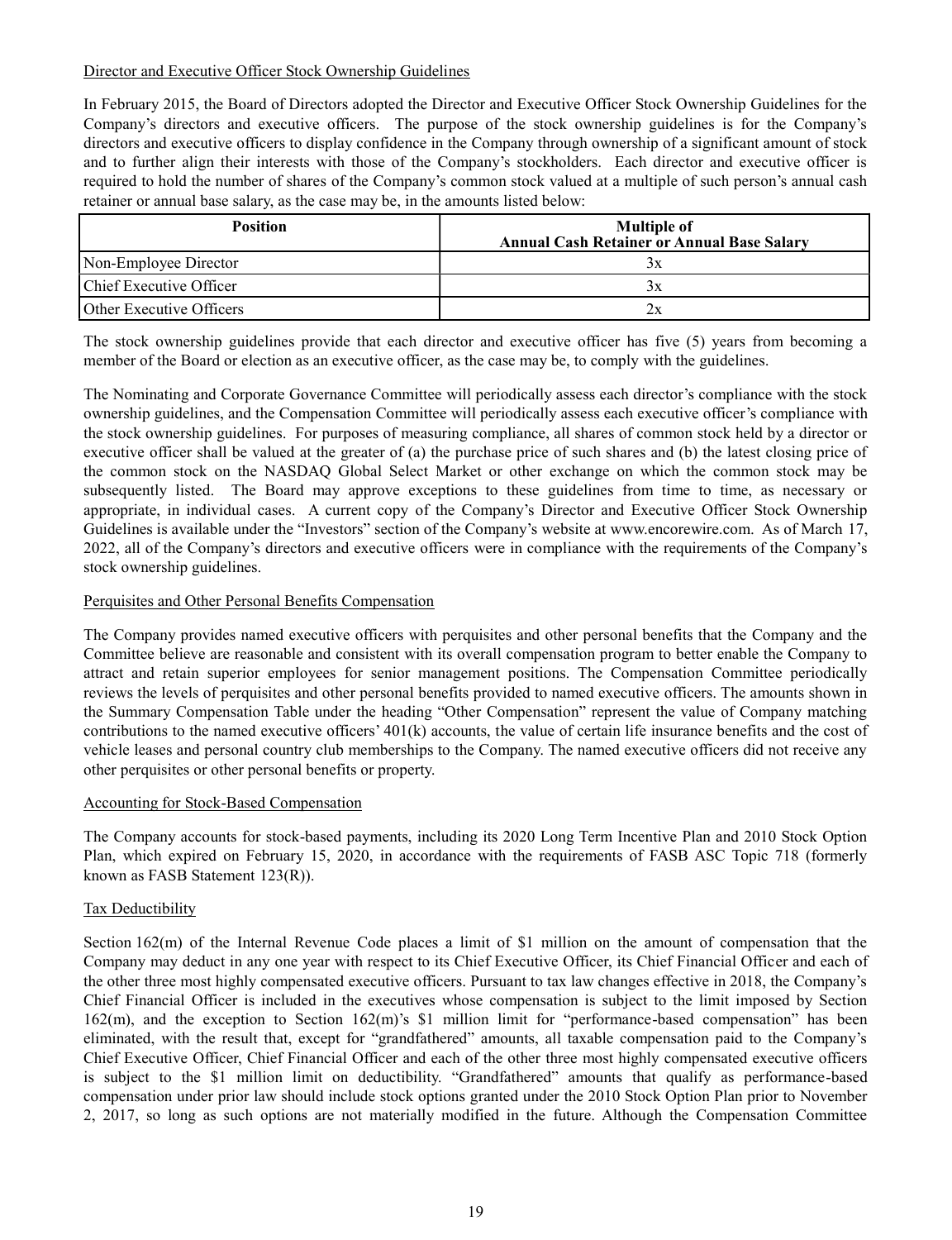# Director and Executive Officer Stock Ownership Guidelines

In February 2015, the Board of Directors adopted the Director and Executive Officer Stock Ownership Guidelines for the Company's directors and executive officers. The purpose of the stock ownership guidelines is for the Company's directors and executive officers to display confidence in the Company through ownership of a significant amount of stock and to further align their interests with those of the Company's stockholders. Each director and executive officer is required to hold the number of shares of the Company's common stock valued at a multiple of such person's annual cash retainer or annual base salary, as the case may be, in the amounts listed below:

| <b>Position</b>                 | <b>Multiple of</b><br><b>Annual Cash Retainer or Annual Base Salary</b> |
|---------------------------------|-------------------------------------------------------------------------|
| Non-Employee Director           | Зx                                                                      |
| Chief Executive Officer         | Зx                                                                      |
| <b>Other Executive Officers</b> | 2x                                                                      |

The stock ownership guidelines provide that each director and executive officer has five (5) years from becoming a member of the Board or election as an executive officer, as the case may be, to comply with the guidelines.

The Nominating and Corporate Governance Committee will periodically assess each director's compliance with the stock ownership guidelines, and the Compensation Committee will periodically assess each executive officer's compliance with the stock ownership guidelines. For purposes of measuring compliance, all shares of common stock held by a director or executive officer shall be valued at the greater of (a) the purchase price of such shares and (b) the latest closing price of the common stock on the NASDAQ Global Select Market or other exchange on which the common stock may be subsequently listed. The Board may approve exceptions to these guidelines from time to time, as necessary or appropriate, in individual cases. A current copy of the Company's Director and Executive Officer Stock Ownership Guidelines is available under the "Investors" section of the Company's website at www.encorewire.com. As of March 17, 2022, all of the Company's directors and executive officers were in compliance with the requirements of the Company's stock ownership guidelines.

# Perquisites and Other Personal Benefits Compensation

The Company provides named executive officers with perquisites and other personal benefits that the Company and the Committee believe are reasonable and consistent with its overall compensation program to better enable the Company to attract and retain superior employees for senior management positions. The Compensation Committee periodically reviews the levels of perquisites and other personal benefits provided to named executive officers. The amounts shown in the Summary Compensation Table under the heading "Other Compensation" represent the value of Company matching contributions to the named executive officers' 401(k) accounts, the value of certain life insurance benefits and the cost of vehicle leases and personal country club memberships to the Company. The named executive officers did not receive any other perquisites or other personal benefits or property.

## Accounting for Stock-Based Compensation

The Company accounts for stock-based payments, including its 2020 Long Term Incentive Plan and 2010 Stock Option Plan, which expired on February 15, 2020, in accordance with the requirements of FASB ASC Topic 718 (formerly known as FASB Statement 123(R)).

# Tax Deductibility

Section 162(m) of the Internal Revenue Code places a limit of \$1 million on the amount of compensation that the Company may deduct in any one year with respect to its Chief Executive Officer, its Chief Financial Officer and each of the other three most highly compensated executive officers. Pursuant to tax law changes effective in 2018, the Company's Chief Financial Officer is included in the executives whose compensation is subject to the limit imposed by Section 162(m), and the exception to Section 162(m)'s \$1 million limit for "performance-based compensation" has been eliminated, with the result that, except for "grandfathered" amounts, all taxable compensation paid to the Company's Chief Executive Officer, Chief Financial Officer and each of the other three most highly compensated executive officers is subject to the \$1 million limit on deductibility. "Grandfathered" amounts that qualify as performance-based compensation under prior law should include stock options granted under the 2010 Stock Option Plan prior to November 2, 2017, so long as such options are not materially modified in the future. Although the Compensation Committee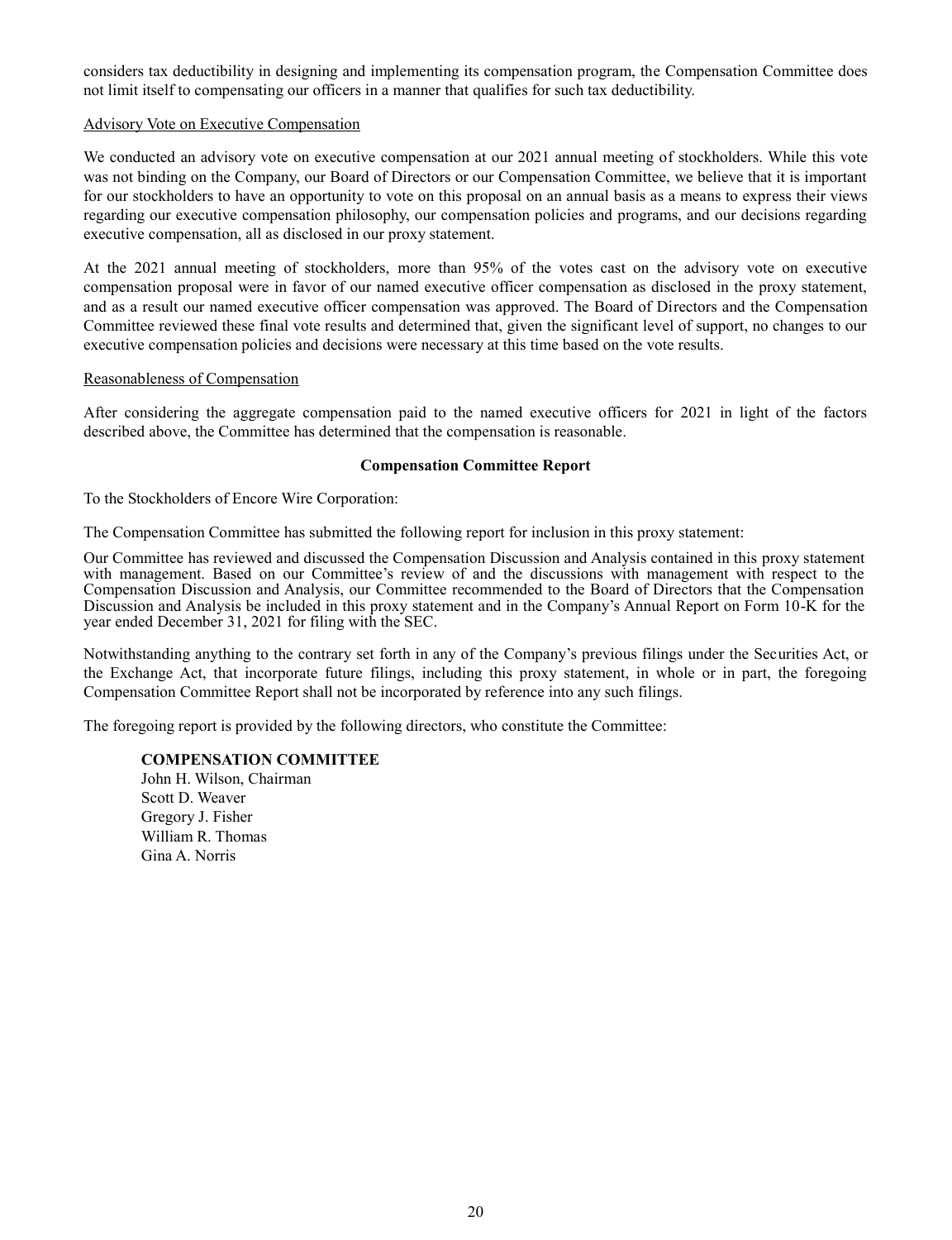considers tax deductibility in designing and implementing its compensation program, the Compensation Committee does not limit itself to compensating our officers in a manner that qualifies for such tax deductibility.

### Advisory Vote on Executive Compensation

We conducted an advisory vote on executive compensation at our 2021 annual meeting of stockholders. While this vote was not binding on the Company, our Board of Directors or our Compensation Committee, we believe that it is important for our stockholders to have an opportunity to vote on this proposal on an annual basis as a means to express their views regarding our executive compensation philosophy, our compensation policies and programs, and our decisions regarding executive compensation, all as disclosed in our proxy statement.

At the 2021 annual meeting of stockholders, more than 95% of the votes cast on the advisory vote on executive compensation proposal were in favor of our named executive officer compensation as disclosed in the proxy statement, and as a result our named executive officer compensation was approved. The Board of Directors and the Compensation Committee reviewed these final vote results and determined that, given the significant level of support, no changes to our executive compensation policies and decisions were necessary at this time based on the vote results.

### Reasonableness of Compensation

After considering the aggregate compensation paid to the named executive officers for 2021 in light of the factors described above, the Committee has determined that the compensation is reasonable.

### **Compensation Committee Report**

To the Stockholders of Encore Wire Corporation:

The Compensation Committee has submitted the following report for inclusion in this proxy statement:

Our Committee has reviewed and discussed the Compensation Discussion and Analysis contained in this proxy statement with management. Based on our Committee's review of and the discussions with management with respect to the Compensation Discussion and Analysis, our Committee recommended to the Board of Directors that the Compensation Discussion and Analysis be included in this proxy statement and in the Company's Annual Report on Form 10-K for the year ended December 31, 2021 for filing with the SEC.

Notwithstanding anything to the contrary set forth in any of the Company's previous filings under the Securities Act, or the Exchange Act, that incorporate future filings, including this proxy statement, in whole or in part, the foregoing Compensation Committee Report shall not be incorporated by reference into any such filings.

The foregoing report is provided by the following directors, who constitute the Committee:

## **COMPENSATION COMMITTEE**

John H. Wilson, Chairman Scott D. Weaver Gregory J. Fisher William R. Thomas Gina A. Norris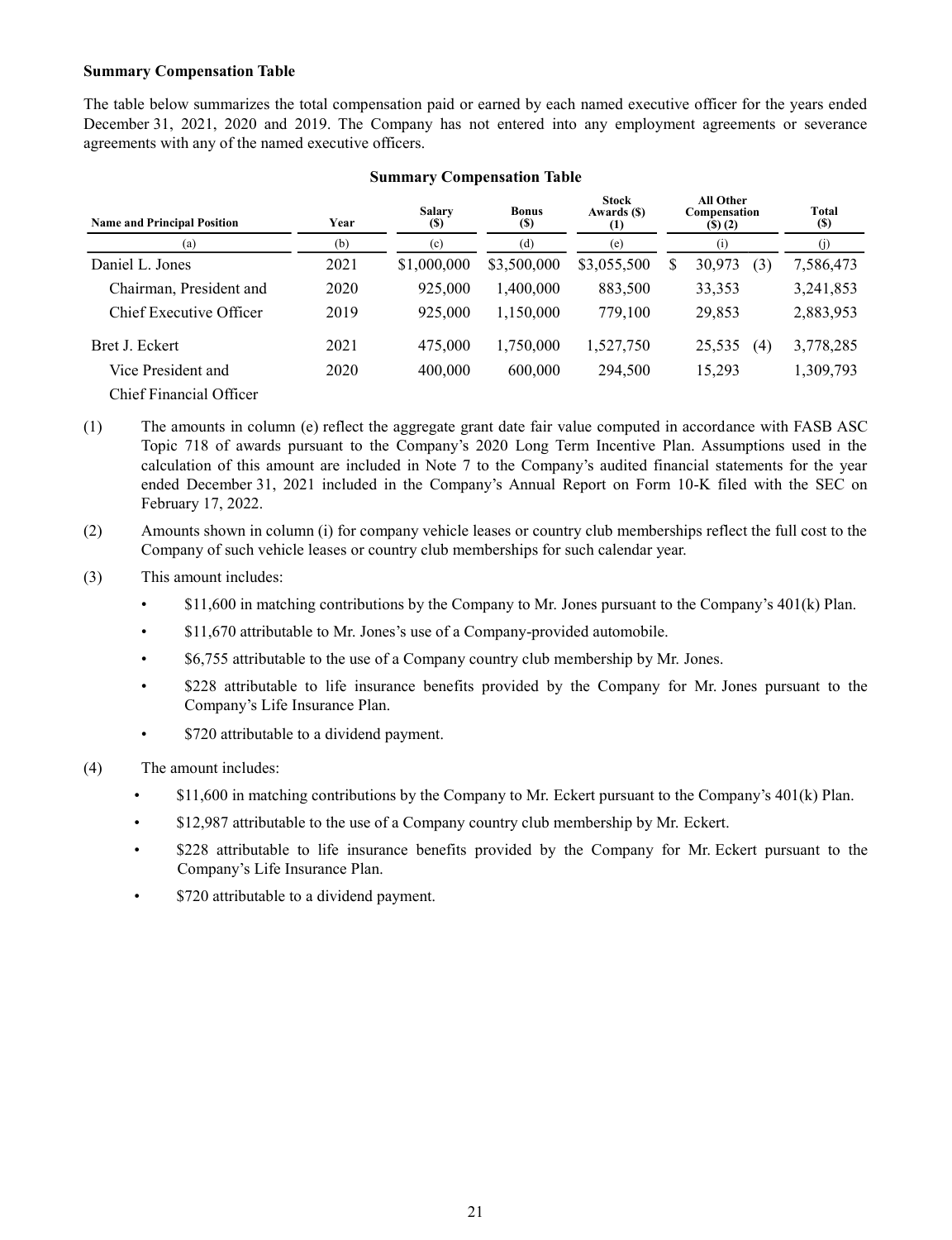## **Summary Compensation Table**

The table below summarizes the total compensation paid or earned by each named executive officer for the years ended December 31, 2021, 2020 and 2019. The Company has not entered into any employment agreements or severance agreements with any of the named executive officers.

| <b>Name and Principal Position</b> | Year | <b>Salary</b><br><b>(S)</b> | <b>Bonus</b><br><b>(\$)</b> | <b>Stock</b><br>Awards (\$)<br>(1) | <b>All Other</b><br>Compensation<br>$($ s $)$ $(2)$ |     | Total<br><b>(S)</b> |
|------------------------------------|------|-----------------------------|-----------------------------|------------------------------------|-----------------------------------------------------|-----|---------------------|
| (a)                                | (b)  | (c)                         | (d)                         | (e)                                | (i)                                                 |     | (i)                 |
| Daniel L. Jones                    | 2021 | \$1,000,000                 | \$3,500,000                 | \$3,055,500                        | \$<br>30,973                                        | (3) | 7,586,473           |
| Chairman, President and            | 2020 | 925,000                     | 1.400.000                   | 883,500                            | 33,353                                              |     | 3,241,853           |
| Chief Executive Officer            | 2019 | 925,000                     | 1,150,000                   | 779,100                            | 29,853                                              |     | 2,883,953           |
| Bret J. Eckert                     | 2021 | 475,000                     | 1,750,000                   | 1,527,750                          | 25,535                                              | (4) | 3,778,285           |
| Vice President and                 | 2020 | 400,000                     | 600,000                     | 294,500                            | 15,293                                              |     | 1,309,793           |
| Chief Financial Officer            |      |                             |                             |                                    |                                                     |     |                     |

## **Summary Compensation Table**

(1) The amounts in column (e) reflect the aggregate grant date fair value computed in accordance with FASB ASC Topic 718 of awards pursuant to the Company's 2020 Long Term Incentive Plan. Assumptions used in the calculation of this amount are included in Note 7 to the Company's audited financial statements for the year ended December 31, 2021 included in the Company's Annual Report on Form 10-K filed with the SEC on February 17, 2022.

(2) Amounts shown in column (i) for company vehicle leases or country club memberships reflect the full cost to the Company of such vehicle leases or country club memberships for such calendar year.

- (3) This amount includes:
	- \$11,600 in matching contributions by the Company to Mr. Jones pursuant to the Company's 401(k) Plan.
	- \$11,670 attributable to Mr. Jones's use of a Company-provided automobile.
	- \$6,755 attributable to the use of a Company country club membership by Mr. Jones.
	- \$228 attributable to life insurance benefits provided by the Company for Mr. Jones pursuant to the Company's Life Insurance Plan.
	- \$720 attributable to a dividend payment.

(4) The amount includes:

- \$11,600 in matching contributions by the Company to Mr. Eckert pursuant to the Company's 401(k) Plan.
- \$12,987 attributable to the use of a Company country club membership by Mr. Eckert.
- \$228 attributable to life insurance benefits provided by the Company for Mr. Eckert pursuant to the Company's Life Insurance Plan.
- \$720 attributable to a dividend payment.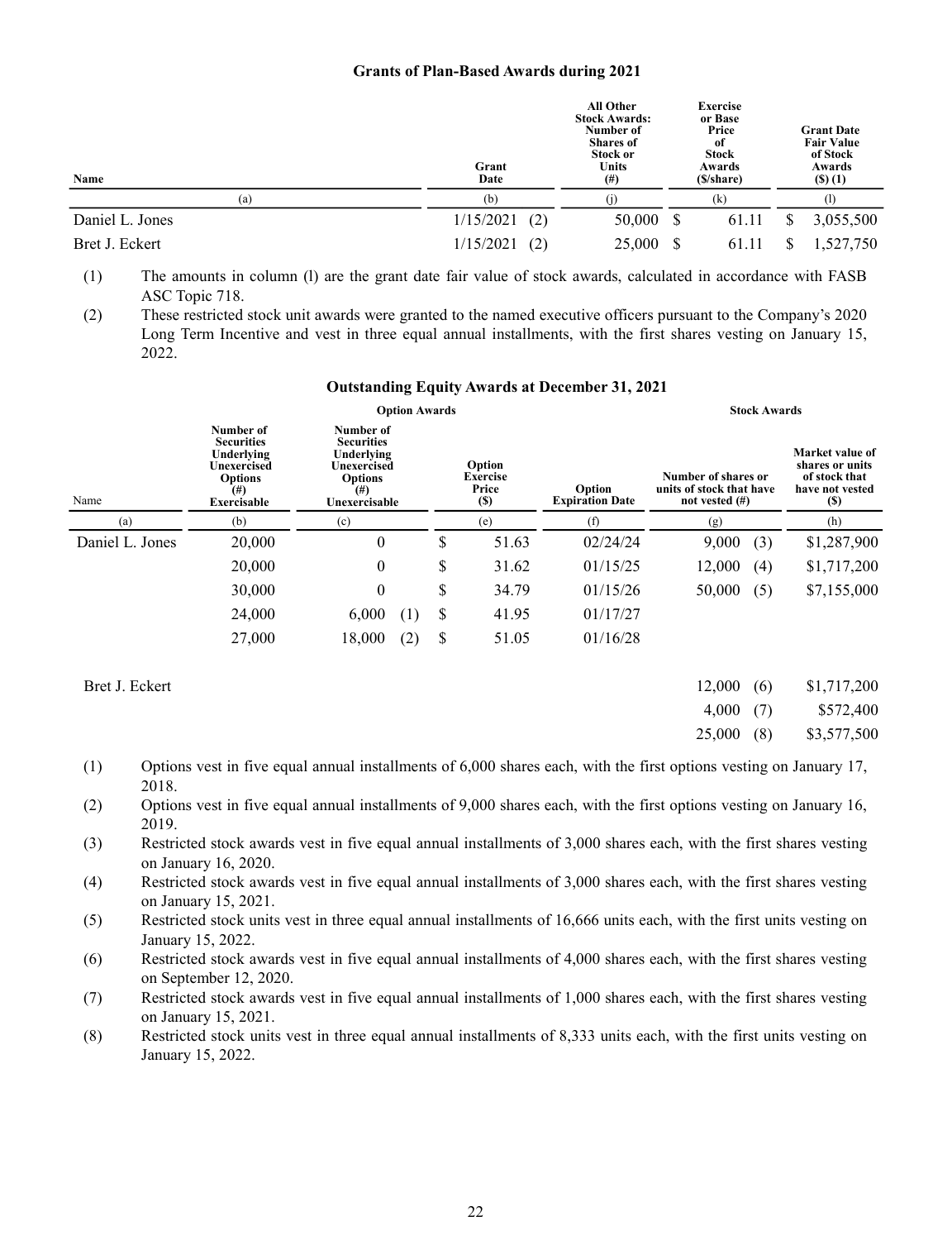#### **Grants of Plan-Based Awards during 2021**

| Name            | Grant<br>Date    | <b>All Other</b><br><b>Stock Awards:</b><br>Number of<br><b>Shares of</b><br><b>Stock or</b><br><b>Units</b><br>$^{(#)}$ | <b>Exercise</b><br>or Base<br>Price<br>0f<br><b>Stock</b><br>Awards<br>(\$/share) |       |   | <b>Grant Date</b><br><b>Fair Value</b><br>of Stock<br>Awards<br>(3)(1) |
|-----------------|------------------|--------------------------------------------------------------------------------------------------------------------------|-----------------------------------------------------------------------------------|-------|---|------------------------------------------------------------------------|
| (a)             | (b)              |                                                                                                                          |                                                                                   | (k)   |   | ( I )                                                                  |
| Daniel L. Jones | 1/15/2021<br>(2) | 50,000                                                                                                                   | - S                                                                               | 61.11 | S | 3,055,500                                                              |
| Bret J. Eckert  | 1/15/2021<br>(2) | 25,000                                                                                                                   |                                                                                   | 61.11 |   | 1,527,750                                                              |

(1) The amounts in column (l) are the grant date fair value of stock awards, calculated in accordance with FASB ASC Topic 718.

(2) These restricted stock unit awards were granted to the named executive officers pursuant to the Company's 2020 Long Term Incentive and vest in three equal annual installments, with the first shares vesting on January 15, 2022.

#### **Outstanding Equity Awards at December 31, 2021**

|                 |                                                                                                                 | <b>Option Awards</b>                                                                                       |                                                                                      |       |          | <b>Stock Awards</b>                                                  |                                                                                      |  |  |  |  |
|-----------------|-----------------------------------------------------------------------------------------------------------------|------------------------------------------------------------------------------------------------------------|--------------------------------------------------------------------------------------|-------|----------|----------------------------------------------------------------------|--------------------------------------------------------------------------------------|--|--|--|--|
| Name            | Number of<br><b>Securities</b><br>Underlying<br>Unexercised<br><b>Options</b><br>$^{(#)}$<br><b>Exercisable</b> | Number of<br><b>Securities</b><br>Underlying<br>Unexercised<br><b>Options</b><br>$^{(#)}$<br>Unexercisable | Option<br><b>Exercise</b><br>Price<br>Option<br><b>Expiration Date</b><br><b>(S)</b> |       |          | Number of shares or<br>units of stock that have<br>not vested $(\#)$ | Market value of<br>shares or units<br>of stock that<br>have not vested<br><b>(S)</b> |  |  |  |  |
| (a)             | (b)                                                                                                             | (c)                                                                                                        |                                                                                      | (e)   | (f)      | (g)                                                                  | (h)                                                                                  |  |  |  |  |
| Daniel L. Jones | 20,000                                                                                                          | $\boldsymbol{0}$                                                                                           | \$                                                                                   | 51.63 | 02/24/24 | 9,000<br>(3)                                                         | \$1,287,900                                                                          |  |  |  |  |
|                 | 20,000                                                                                                          | $\overline{0}$                                                                                             | \$                                                                                   | 31.62 | 01/15/25 | 12,000<br>(4)                                                        | \$1,717,200                                                                          |  |  |  |  |
|                 | 30,000                                                                                                          | $\boldsymbol{0}$                                                                                           | \$                                                                                   | 34.79 | 01/15/26 | 50,000<br>(5)                                                        | \$7,155,000                                                                          |  |  |  |  |
|                 | 24,000                                                                                                          | 6,000<br>-11                                                                                               | \$                                                                                   | 41.95 | 01/17/27 |                                                                      |                                                                                      |  |  |  |  |
|                 | 27,000                                                                                                          | 18,000<br>(2)                                                                                              | \$                                                                                   | 51.05 | 01/16/28 |                                                                      |                                                                                      |  |  |  |  |

| Bret J. Eckert |          | $12,000$ (6) \$1,717,200 |
|----------------|----------|--------------------------|
|                | 4,000(7) | \$572,400                |
|                |          | 25,000 (8) \$3,577,500   |

- (1) Options vest in five equal annual installments of 6,000 shares each, with the first options vesting on January 17, 2018.
- (2) Options vest in five equal annual installments of 9,000 shares each, with the first options vesting on January 16, 2019.
- (3) Restricted stock awards vest in five equal annual installments of 3,000 shares each, with the first shares vesting on January 16, 2020.
- (4) Restricted stock awards vest in five equal annual installments of 3,000 shares each, with the first shares vesting on January 15, 2021.
- (5) Restricted stock units vest in three equal annual installments of 16,666 units each, with the first units vesting on January 15, 2022.
- (6) Restricted stock awards vest in five equal annual installments of 4,000 shares each, with the first shares vesting on September 12, 2020.
- (7) Restricted stock awards vest in five equal annual installments of 1,000 shares each, with the first shares vesting on January 15, 2021.
- (8) Restricted stock units vest in three equal annual installments of 8,333 units each, with the first units vesting on January 15, 2022.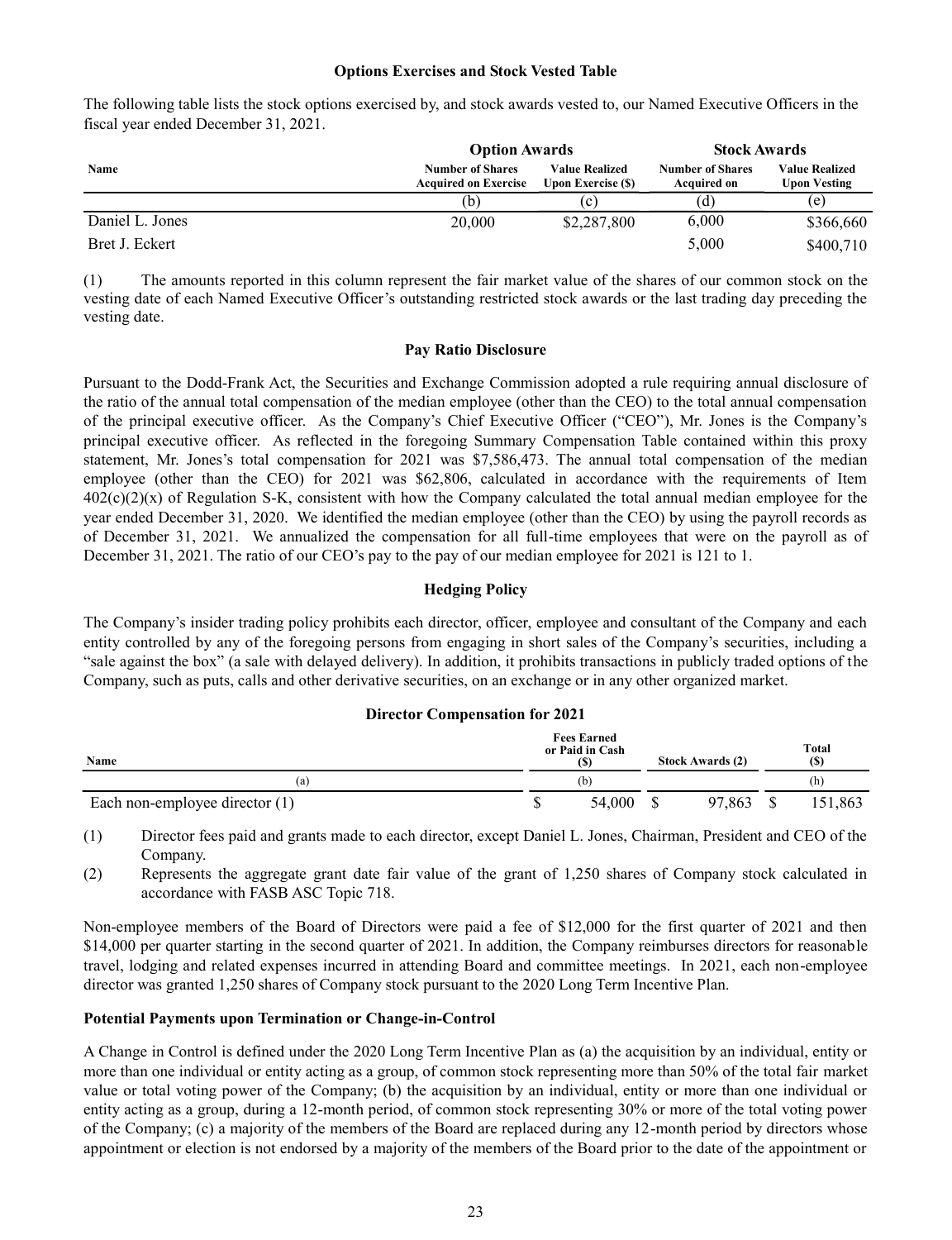#### **Options Exercises and Stock Vested Table**

The following table lists the stock options exercised by, and stock awards vested to, our Named Executive Officers in the fiscal year ended December 31, 2021.

|                 | <b>Option Awards</b>                                   |                                                    | <b>Stock Awards</b>                           |                                       |  |
|-----------------|--------------------------------------------------------|----------------------------------------------------|-----------------------------------------------|---------------------------------------|--|
| Name            | <b>Number of Shares</b><br><b>Acquired on Exercise</b> | <b>Value Realized</b><br><b>Upon Exercise (\$)</b> | <b>Number of Shares</b><br><b>Acquired on</b> | <b>Value Realized</b><br>Upon Vesting |  |
|                 | (b)                                                    | (c)                                                | (d)                                           | (e)                                   |  |
| Daniel L. Jones | 20,000                                                 | \$2,287,800                                        | 6,000                                         | \$366,660                             |  |
| Bret J. Eckert  |                                                        |                                                    | 5,000                                         | \$400,710                             |  |

(1) The amounts reported in this column represent the fair market value of the shares of our common stock on the vesting date of each Named Executive Officer's outstanding restricted stock awards or the last trading day preceding the vesting date.

#### **Pay Ratio Disclosure**

Pursuant to the Dodd-Frank Act, the Securities and Exchange Commission adopted a rule requiring annual disclosure of the ratio of the annual total compensation of the median employee (other than the CEO) to the total annual compensation of the principal executive officer. As the Company's Chief Executive Officer ("CEO"), Mr. Jones is the Company's principal executive officer. As reflected in the foregoing Summary Compensation Table contained within this proxy statement, Mr. Jones's total compensation for 2021 was \$7,586,473. The annual total compensation of the median employee (other than the CEO) for 2021 was \$62,806, calculated in accordance with the requirements of Item  $402(c)(2)(x)$  of Regulation S-K, consistent with how the Company calculated the total annual median employee for the year ended December 31, 2020. We identified the median employee (other than the CEO) by using the payroll records as of December 31, 2021. We annualized the compensation for all full-time employees that were on the payroll as of December 31, 2021. The ratio of our CEO's pay to the pay of our median employee for 2021 is 121 to 1.

### **Hedging Policy**

The Company's insider trading policy prohibits each director, officer, employee and consultant of the Company and each entity controlled by any of the foregoing persons from engaging in short sales of the Company's securities, including a "sale against the box" (a sale with delayed delivery). In addition, it prohibits transactions in publicly traded options of the Company, such as puts, calls and other derivative securities, on an exchange or in any other organized market.

#### **Director Compensation for 2021**

| Name                           |  | <b>Fees Earned</b><br>or Paid in Cash<br>(S) | <b>Stock Awards (2)</b> | Total<br><b>(S)</b> |         |  |
|--------------------------------|--|----------------------------------------------|-------------------------|---------------------|---------|--|
| (a                             |  | (b)                                          |                         |                     | (h)     |  |
| Each non-employee director (1) |  | 54,000                                       | 97.863                  |                     | 151.863 |  |

(1) Director fees paid and grants made to each director, except Daniel L. Jones, Chairman, President and CEO of the Company.

(2) Represents the aggregate grant date fair value of the grant of 1,250 shares of Company stock calculated in accordance with FASB ASC Topic 718.

Non-employee members of the Board of Directors were paid a fee of \$12,000 for the first quarter of 2021 and then \$14,000 per quarter starting in the second quarter of 2021. In addition, the Company reimburses directors for reasonable travel, lodging and related expenses incurred in attending Board and committee meetings. In 2021, each non-employee director was granted 1,250 shares of Company stock pursuant to the 2020 Long Term Incentive Plan.

## **Potential Payments upon Termination or Change-in-Control**

A Change in Control is defined under the 2020 Long Term Incentive Plan as (a) the acquisition by an individual, entity or more than one individual or entity acting as a group, of common stock representing more than 50% of the total fair market value or total voting power of the Company; (b) the acquisition by an individual, entity or more than one individual or entity acting as a group, during a 12-month period, of common stock representing 30% or more of the total voting power of the Company; (c) a majority of the members of the Board are replaced during any 12-month period by directors whose appointment or election is not endorsed by a majority of the members of the Board prior to the date of the appointment or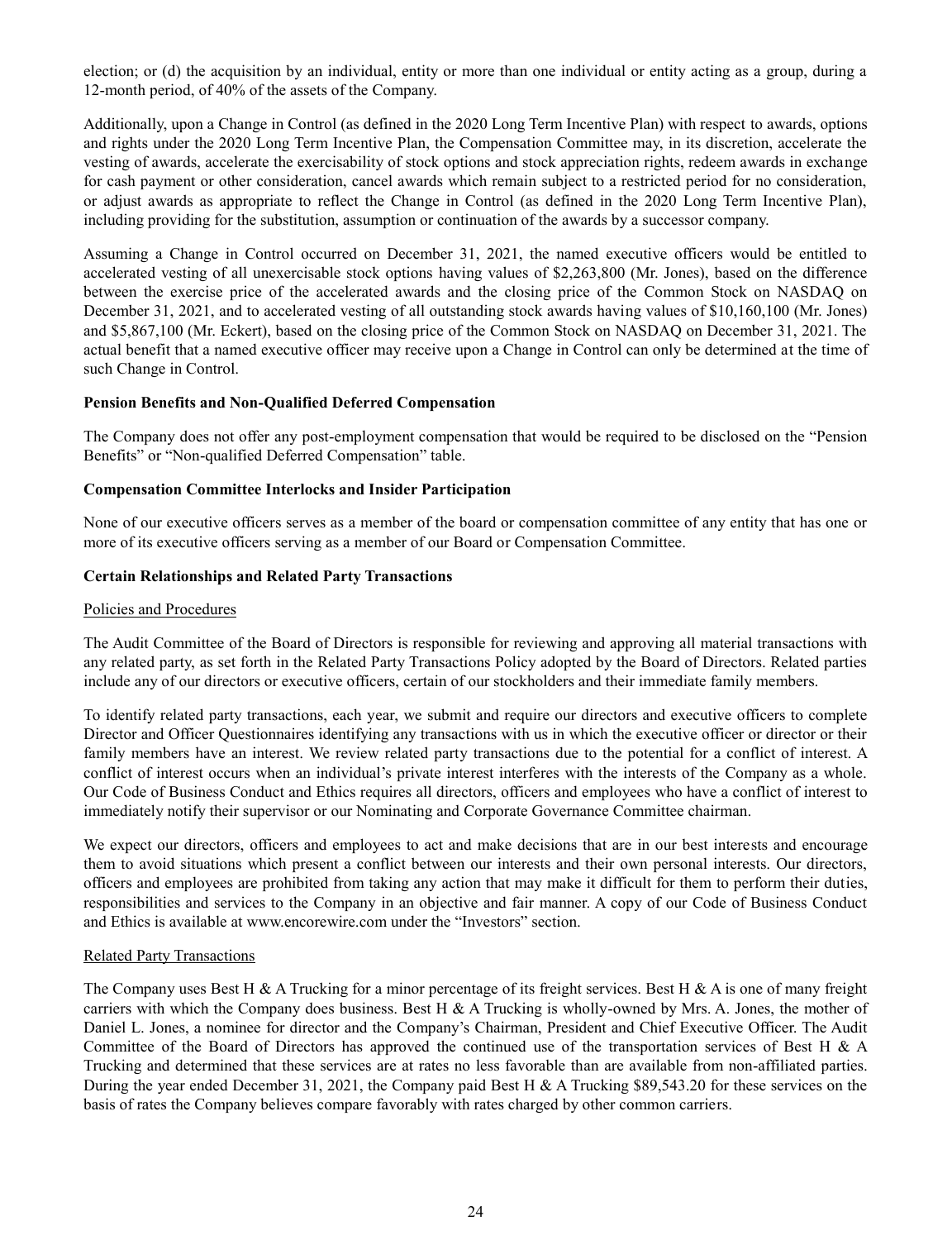election; or (d) the acquisition by an individual, entity or more than one individual or entity acting as a group, during a 12-month period, of 40% of the assets of the Company.

Additionally, upon a Change in Control (as defined in the 2020 Long Term Incentive Plan) with respect to awards, options and rights under the 2020 Long Term Incentive Plan, the Compensation Committee may, in its discretion, accelerate the vesting of awards, accelerate the exercisability of stock options and stock appreciation rights, redeem awards in exchange for cash payment or other consideration, cancel awards which remain subject to a restricted period for no consideration, or adjust awards as appropriate to reflect the Change in Control (as defined in the 2020 Long Term Incentive Plan), including providing for the substitution, assumption or continuation of the awards by a successor company.

Assuming a Change in Control occurred on December 31, 2021, the named executive officers would be entitled to accelerated vesting of all unexercisable stock options having values of \$2,263,800 (Mr. Jones), based on the difference between the exercise price of the accelerated awards and the closing price of the Common Stock on NASDAQ on December 31, 2021, and to accelerated vesting of all outstanding stock awards having values of \$10,160,100 (Mr. Jones) and \$5,867,100 (Mr. Eckert), based on the closing price of the Common Stock on NASDAQ on December 31, 2021. The actual benefit that a named executive officer may receive upon a Change in Control can only be determined at the time of such Change in Control.

## **Pension Benefits and Non-Qualified Deferred Compensation**

The Company does not offer any post-employment compensation that would be required to be disclosed on the "Pension Benefits" or "Non-qualified Deferred Compensation" table.

### **Compensation Committee Interlocks and Insider Participation**

None of our executive officers serves as a member of the board or compensation committee of any entity that has one or more of its executive officers serving as a member of our Board or Compensation Committee.

### **Certain Relationships and Related Party Transactions**

#### Policies and Procedures

The Audit Committee of the Board of Directors is responsible for reviewing and approving all material transactions with any related party, as set forth in the Related Party Transactions Policy adopted by the Board of Directors. Related parties include any of our directors or executive officers, certain of our stockholders and their immediate family members.

To identify related party transactions, each year, we submit and require our directors and executive officers to complete Director and Officer Questionnaires identifying any transactions with us in which the executive officer or director or their family members have an interest. We review related party transactions due to the potential for a conflict of interest. A conflict of interest occurs when an individual's private interest interferes with the interests of the Company as a whole. Our Code of Business Conduct and Ethics requires all directors, officers and employees who have a conflict of interest to immediately notify their supervisor or our Nominating and Corporate Governance Committee chairman.

We expect our directors, officers and employees to act and make decisions that are in our best interests and encourage them to avoid situations which present a conflict between our interests and their own personal interests. Our directors, officers and employees are prohibited from taking any action that may make it difficult for them to perform their duties, responsibilities and services to the Company in an objective and fair manner. A copy of our Code of Business Conduct and Ethics is available at www.encorewire.com under the "Investors" section.

#### Related Party Transactions

The Company uses Best H & A Trucking for a minor percentage of its freight services. Best H & A is one of many freight carriers with which the Company does business. Best H & A Trucking is wholly-owned by Mrs. A. Jones, the mother of Daniel L. Jones, a nominee for director and the Company's Chairman, President and Chief Executive Officer. The Audit Committee of the Board of Directors has approved the continued use of the transportation services of Best H & A Trucking and determined that these services are at rates no less favorable than are available from non-affiliated parties. During the year ended December 31, 2021, the Company paid Best H & A Trucking \$89,543.20 for these services on the basis of rates the Company believes compare favorably with rates charged by other common carriers.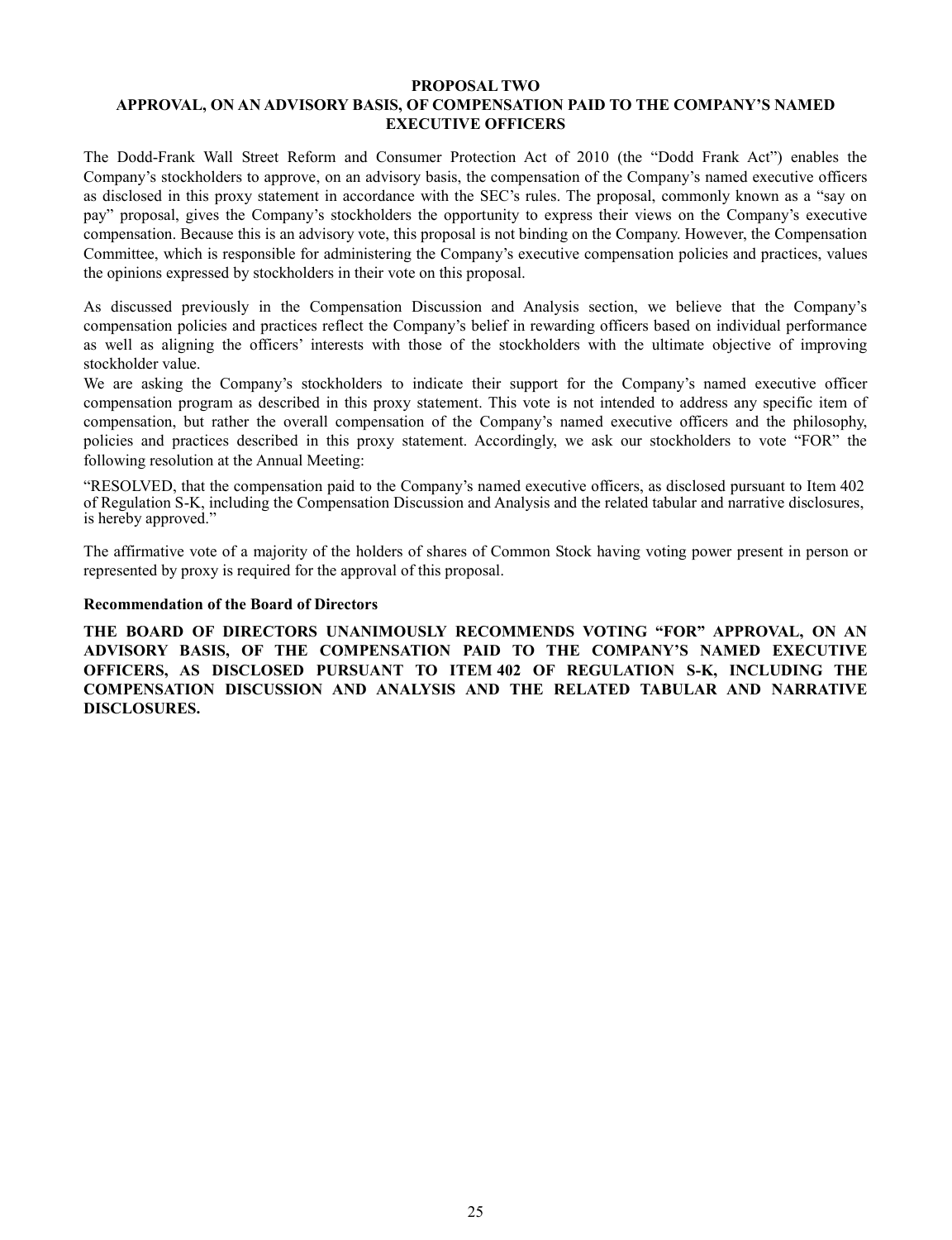### **PROPOSAL TWO APPROVAL, ON AN ADVISORY BASIS, OF COMPENSATION PAID TO THE COMPANY'S NAMED EXECUTIVE OFFICERS**

The Dodd-Frank Wall Street Reform and Consumer Protection Act of 2010 (the "Dodd Frank Act") enables the Company's stockholders to approve, on an advisory basis, the compensation of the Company's named executive officers as disclosed in this proxy statement in accordance with the SEC's rules. The proposal, commonly known as a "say on pay" proposal, gives the Company's stockholders the opportunity to express their views on the Company's executive compensation. Because this is an advisory vote, this proposal is not binding on the Company. However, the Compensation Committee, which is responsible for administering the Company's executive compensation policies and practices, values the opinions expressed by stockholders in their vote on this proposal.

As discussed previously in the Compensation Discussion and Analysis section, we believe that the Company's compensation policies and practices reflect the Company's belief in rewarding officers based on individual performance as well as aligning the officers' interests with those of the stockholders with the ultimate objective of improving stockholder value.

We are asking the Company's stockholders to indicate their support for the Company's named executive officer compensation program as described in this proxy statement. This vote is not intended to address any specific item of compensation, but rather the overall compensation of the Company's named executive officers and the philosophy, policies and practices described in this proxy statement. Accordingly, we ask our stockholders to vote "FOR" the following resolution at the Annual Meeting:

"RESOLVED, that the compensation paid to the Company's named executive officers, as disclosed pursuant to Item 402 of Regulation S-K, including the Compensation Discussion and Analysis and the related tabular and narrative disclosures, is hereby approved."

The affirmative vote of a majority of the holders of shares of Common Stock having voting power present in person or represented by proxy is required for the approval of this proposal.

### **Recommendation of the Board of Directors**

**THE BOARD OF DIRECTORS UNANIMOUSLY RECOMMENDS VOTING "FOR" APPROVAL, ON AN ADVISORY BASIS, OF THE COMPENSATION PAID TO THE COMPANY'S NAMED EXECUTIVE OFFICERS, AS DISCLOSED PURSUANT TO ITEM 402 OF REGULATION S-K, INCLUDING THE COMPENSATION DISCUSSION AND ANALYSIS AND THE RELATED TABULAR AND NARRATIVE DISCLOSURES.**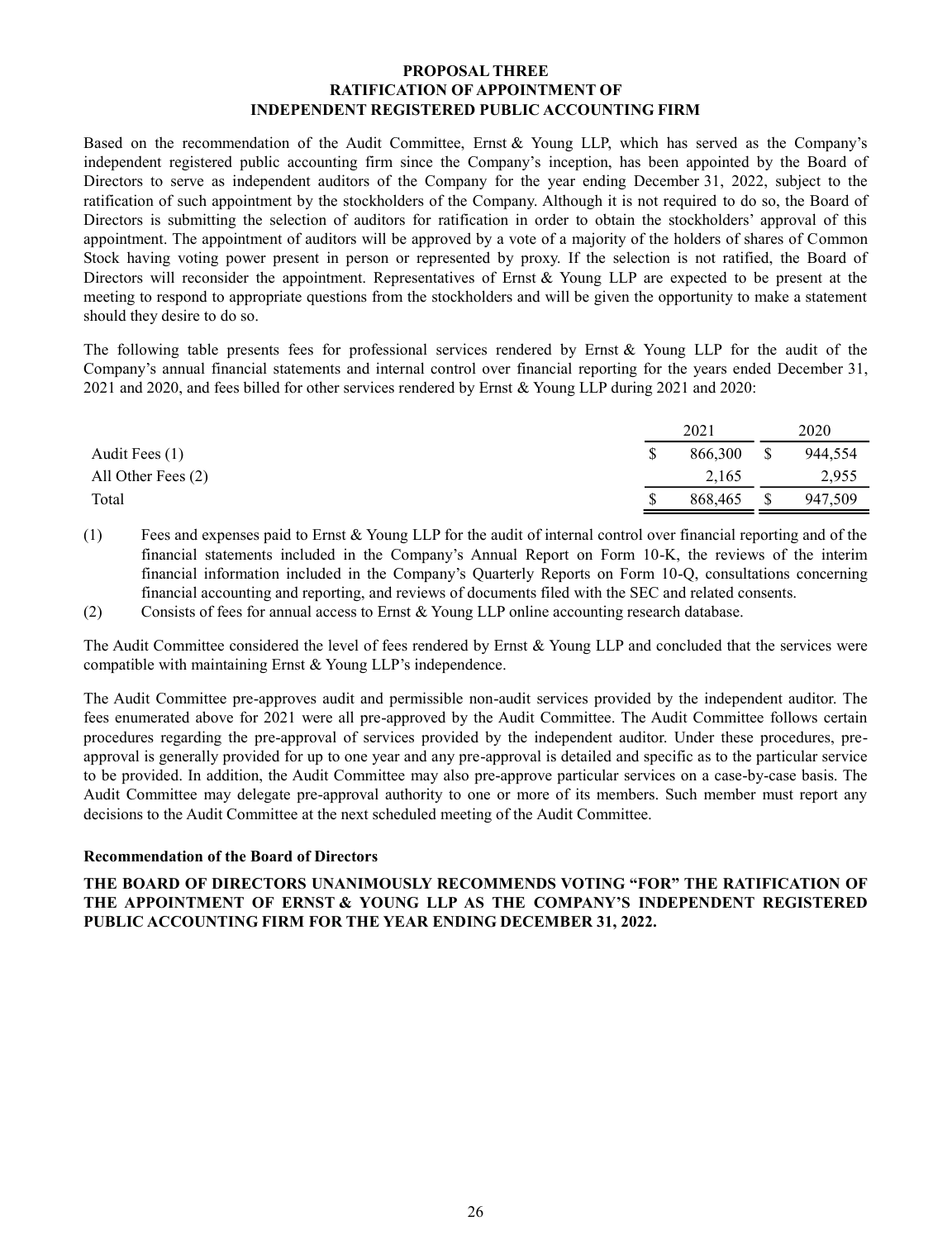### **PROPOSAL THREE RATIFICATION OF APPOINTMENT OF INDEPENDENT REGISTERED PUBLIC ACCOUNTING FIRM**

Based on the recommendation of the Audit Committee, Ernst & Young LLP, which has served as the Company's independent registered public accounting firm since the Company's inception, has been appointed by the Board of Directors to serve as independent auditors of the Company for the year ending December 31, 2022, subject to the ratification of such appointment by the stockholders of the Company. Although it is not required to do so, the Board of Directors is submitting the selection of auditors for ratification in order to obtain the stockholders' approval of this appointment. The appointment of auditors will be approved by a vote of a majority of the holders of shares of Common Stock having voting power present in person or represented by proxy. If the selection is not ratified, the Board of Directors will reconsider the appointment. Representatives of Ernst & Young LLP are expected to be present at the meeting to respond to appropriate questions from the stockholders and will be given the opportunity to make a statement should they desire to do so.

The following table presents fees for professional services rendered by Ernst & Young LLP for the audit of the Company's annual financial statements and internal control over financial reporting for the years ended December 31, 2021 and 2020, and fees billed for other services rendered by Ernst & Young LLP during 2021 and 2020:

|                    | 2021    | 2020 |         |  |
|--------------------|---------|------|---------|--|
| Audit Fees (1)     | 866,300 |      | 944,554 |  |
| All Other Fees (2) | 2,165   |      | 2,955   |  |
| Total              | 868,465 |      | 947,509 |  |

(1) Fees and expenses paid to Ernst & Young LLP for the audit of internal control over financial reporting and of the financial statements included in the Company's Annual Report on Form 10-K, the reviews of the interim financial information included in the Company's Quarterly Reports on Form 10-Q, consultations concerning financial accounting and reporting, and reviews of documents filed with the SEC and related consents.

(2) Consists of fees for annual access to Ernst & Young LLP online accounting research database.

The Audit Committee considered the level of fees rendered by Ernst & Young LLP and concluded that the services were compatible with maintaining Ernst & Young LLP's independence.

The Audit Committee pre-approves audit and permissible non-audit services provided by the independent auditor. The fees enumerated above for 2021 were all pre-approved by the Audit Committee. The Audit Committee follows certain procedures regarding the pre-approval of services provided by the independent auditor. Under these procedures, preapproval is generally provided for up to one year and any pre-approval is detailed and specific as to the particular service to be provided. In addition, the Audit Committee may also pre-approve particular services on a case-by-case basis. The Audit Committee may delegate pre-approval authority to one or more of its members. Such member must report any decisions to the Audit Committee at the next scheduled meeting of the Audit Committee.

## **Recommendation of the Board of Directors**

**THE BOARD OF DIRECTORS UNANIMOUSLY RECOMMENDS VOTING "FOR" THE RATIFICATION OF THE APPOINTMENT OF ERNST & YOUNG LLP AS THE COMPANY'S INDEPENDENT REGISTERED PUBLIC ACCOUNTING FIRM FOR THE YEAR ENDING DECEMBER 31, 2022.**